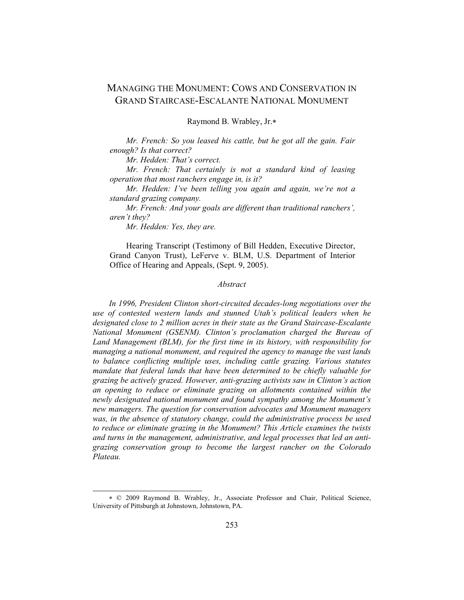# MANAGING THE MONUMENT: COWS AND CONSERVATION IN GRAND STAIRCASE-ESCALANTE NATIONAL MONUMENT

Raymond B. Wrabley, Jr.∗

*Mr. French: So you leased his cattle, but he got all the gain. Fair enough? Is that correct?* 

*Mr. Hedden: That's correct.* 

*Mr. French: That certainly is not a standard kind of leasing operation that most ranchers engage in, is it?* 

*Mr. Hedden: I've been telling you again and again, we're not a standard grazing company.* 

*Mr. French: And your goals are different than traditional ranchers', aren't they?* 

*Mr. Hedden: Yes, they are.* 

÷

Hearing Transcript (Testimony of Bill Hedden, Executive Director, Grand Canyon Trust), LeFerve v. BLM, U.S. Department of Interior Office of Hearing and Appeals, (Sept. 9, 2005).

### *Abstract*

*In 1996, President Clinton short-circuited decades-long negotiations over the use of contested western lands and stunned Utah's political leaders when he designated close to 2 million acres in their state as the Grand Staircase-Escalante National Monument (GSENM). Clinton's proclamation charged the Bureau of Land Management (BLM), for the first time in its history, with responsibility for managing a national monument, and required the agency to manage the vast lands to balance conflicting multiple uses, including cattle grazing. Various statutes mandate that federal lands that have been determined to be chiefly valuable for grazing be actively grazed. However, anti-grazing activists saw in Clinton's action an opening to reduce or eliminate grazing on allotments contained within the newly designated national monument and found sympathy among the Monument's new managers. The question for conservation advocates and Monument managers was, in the absence of statutory change, could the administrative process be used to reduce or eliminate grazing in the Monument? This Article examines the twists and turns in the management, administrative, and legal processes that led an antigrazing conservation group to become the largest rancher on the Colorado Plateau.* 

<sup>∗</sup> © 2009 Raymond B. Wrabley, Jr., Associate Professor and Chair, Political Science, University of Pittsburgh at Johnstown, Johnstown, PA.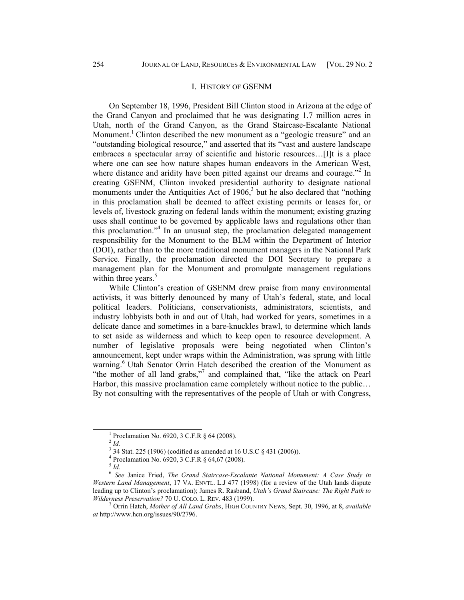#### I. HISTORY OF GSENM

On September 18, 1996, President Bill Clinton stood in Arizona at the edge of the Grand Canyon and proclaimed that he was designating 1.7 million acres in Utah, north of the Grand Canyon, as the Grand Staircase-Escalante National Monument.<sup>1</sup> Clinton described the new monument as a "geologic treasure" and an "outstanding biological resource," and asserted that its "vast and austere landscape embraces a spectacular array of scientific and historic resources…[I]t is a place where one can see how nature shapes human endeavors in the American West, where distance and aridity have been pitted against our dreams and courage."<sup>2</sup> In creating GSENM, Clinton invoked presidential authority to designate national monuments under the Antiquities Act of  $1906$ ,<sup>3</sup> but he also declared that "nothing" in this proclamation shall be deemed to affect existing permits or leases for, or levels of, livestock grazing on federal lands within the monument; existing grazing uses shall continue to be governed by applicable laws and regulations other than this proclamation."4 In an unusual step, the proclamation delegated management responsibility for the Monument to the BLM within the Department of Interior (DOI), rather than to the more traditional monument managers in the National Park Service. Finally, the proclamation directed the DOI Secretary to prepare a management plan for the Monument and promulgate management regulations within three years. $5$ 

While Clinton's creation of GSENM drew praise from many environmental activists, it was bitterly denounced by many of Utah's federal, state, and local political leaders. Politicians, conservationists, administrators, scientists, and industry lobbyists both in and out of Utah, had worked for years, sometimes in a delicate dance and sometimes in a bare-knuckles brawl, to determine which lands to set aside as wilderness and which to keep open to resource development. A number of legislative proposals were being negotiated when Clinton's announcement, kept under wraps within the Administration, was sprung with little warning.<sup>6</sup> Utah Senator Orrin Hatch described the creation of the Monument as "the mother of all land grabs,"<sup>7</sup> and complained that, "like the attack on Pearl Harbor, this massive proclamation came completely without notice to the public... By not consulting with the representatives of the people of Utah or with Congress,

 $\frac{1}{1}$ <sup>1</sup> Proclamation No. 6920, 3 C.F.R § 64 (2008).

<sup>2</sup> *Id.*

<sup>3</sup> 34 Stat. 225 (1906) (codified as amended at 16 U.S.C § 431 (2006)).

<sup>4</sup> Proclamation No. 6920, 3 C.F.R § 64,67 (2008).

<sup>5</sup> *Id.*

<sup>6</sup> *See* Janice Fried, *The Grand Staircase-Escalante National Monument: A Case Study in Western Land Management*, 17 VA. ENVTL. L.J 477 (1998) (for a review of the Utah lands dispute leading up to Clinton's proclamation); James R. Rasband, *Utah's Grand Staircase: The Right Path to Wilderness Preservation?* 70 U. COLO. L. REV. 483 (1999). 7

Orrin Hatch, *Mother of All Land Grabs*, HIGH COUNTRY NEWS, Sept. 30, 1996, at 8, *available at* http://www.hcn.org/issues/90/2796.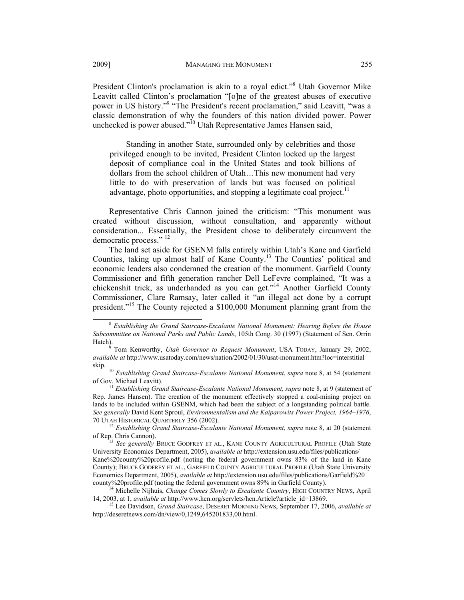President Clinton's proclamation is akin to a royal edict."<sup>8</sup> Utah Governor Mike Leavitt called Clinton's proclamation "[o]ne of the greatest abuses of executive power in US history."<sup>9</sup> "The President's recent proclamation," said Leavitt, "was a classic demonstration of why the founders of this nation divided power. Power unchecked is power abused."10 Utah Representative James Hansen said,

Standing in another State, surrounded only by celebrities and those privileged enough to be invited, President Clinton locked up the largest deposit of compliance coal in the United States and took billions of dollars from the school children of Utah…This new monument had very little to do with preservation of lands but was focused on political advantage, photo opportunities, and stopping a legitimate coal project.<sup>11</sup>

Representative Chris Cannon joined the criticism: "This monument was created without discussion, without consultation, and apparently without consideration... Essentially, the President chose to deliberately circumvent the democratic process."<sup>12</sup>

The land set aside for GSENM falls entirely within Utah's Kane and Garfield Counties, taking up almost half of Kane County.13 The Counties' political and economic leaders also condemned the creation of the monument. Garfield County Commissioner and fifth generation rancher Dell LeFevre complained, "It was a chickenshit trick, as underhanded as you can get."14 Another Garfield County Commissioner, Clare Ramsay, later called it "an illegal act done by a corrupt president."15 The County rejected a \$100,000 Monument planning grant from the

<sup>8</sup> *Establishing the Grand Staircase-Escalante National Monument: Hearing Before the House Subcommittee on National Parks and Public Lands*, 105th Cong. 30 (1997) (Statement of Sen. Orrin

Tom Kenworthy, *Utah Governor to Request Monument*, USA TODAY, January 29, 2002, *available at* http://www.usatoday.com/news/nation/2002/01/30/usat-monument.htm?loc=interstitial

skip. <sup>10</sup> *Establishing Grand Staircase-Escalante National Monument*, *supra* note 8, at 54 (statement of Gov. Michael Leavitt).

<sup>&</sup>lt;sup>11</sup> *Establishing Grand Staircase-Escalante National Monument, supra* note 8, at 9 (statement of Rep. James Hansen). The creation of the monument effectively stopped a coal-mining project on lands to be included within GSENM, which had been the subject of a longstanding political battle. *See generally* David Kent Sproul, *Environmentalism and the Kaiparowits Power Project, 1964–1976*,

<sup>&</sup>lt;sup>12</sup> Establishing Grand Staircase-Escalante National Monument, *supra* note 8, at 20 (statement of Rep. Chris Cannon).

<sup>&</sup>lt;sup>13</sup> See generally BRUCE GODFREY ET AL., KANE COUNTY AGRICULTURAL PROFILE (Utah State University Economics Department, 2005), a*vailable at* http://extension.usu.edu/files/publications/ Kane%20county%20profile.pdf (noting the federal government owns 83% of the land in Kane County); BRUCE GODFREY ET AL., GARFIELD COUNTY AGRICULTURAL PROFILE (Utah State University Economics Department, 2005), *available at http://extension.usu.edu/files/publications/Garfield%20* county%20profile.pdf (noting the federal government owns 89% in Garfield County).

<sup>&</sup>lt;sup>14</sup> Michelle Nijhuis, *Change Comes Slowly to Escalante Country*, HIGH COUNTRY NEWS, April 14, 2003, at 1, *available at* http://www.hcn.org/servlets/hcn.Article?article id=13869.

<sup>&</sup>lt;sup>15</sup> Lee Davidson, *Grand Staircase*, DESERET MORNING NEWS, September 17, 2006, *available at* http://deseretnews.com/dn/view/0,1249,645201833,00.html.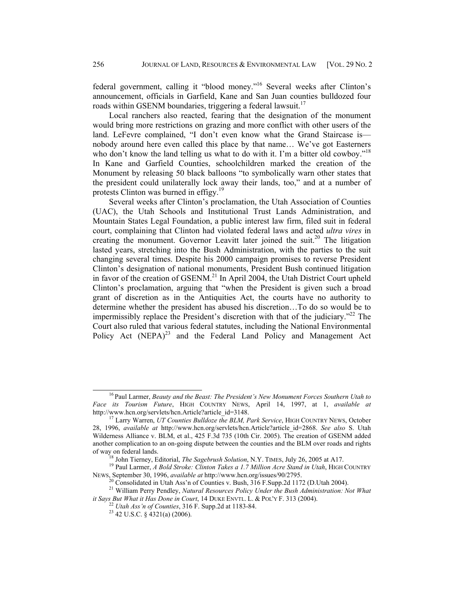federal government, calling it "blood money."16 Several weeks after Clinton's announcement, officials in Garfield, Kane and San Juan counties bulldozed four roads within GSENM boundaries, triggering a federal lawsuit.<sup>17</sup>

Local ranchers also reacted, fearing that the designation of the monument would bring more restrictions on grazing and more conflict with other users of the land. LeFevre complained, "I don't even know what the Grand Staircase is nobody around here even called this place by that name… We've got Easterners who don't know the land telling us what to do with it. I'm a bitter old cowboy."<sup>18</sup> In Kane and Garfield Counties, schoolchildren marked the creation of the Monument by releasing 50 black balloons "to symbolically warn other states that the president could unilaterally lock away their lands, too," and at a number of protests Clinton was burned in effigy.<sup>19</sup>

Several weeks after Clinton's proclamation, the Utah Association of Counties (UAC), the Utah Schools and Institutional Trust Lands Administration, and Mountain States Legal Foundation, a public interest law firm, filed suit in federal court, complaining that Clinton had violated federal laws and acted *ultra vires* in creating the monument. Governor Leavitt later joined the suit.<sup>20</sup> The litigation lasted years, stretching into the Bush Administration, with the parties to the suit changing several times. Despite his 2000 campaign promises to reverse President Clinton's designation of national monuments, President Bush continued litigation in favor of the creation of GSENM.<sup>21</sup> In April 2004, the Utah District Court upheld Clinton's proclamation, arguing that "when the President is given such a broad grant of discretion as in the Antiquities Act, the courts have no authority to determine whether the president has abused his discretion…To do so would be to impermissibly replace the President's discretion with that of the judiciary.<sup> $22$ </sup> The Court also ruled that various federal statutes, including the National Environmental Policy Act  $(NEPA)^{23}$  and the Federal Land Policy and Management Act

16 Paul Larmer, *Beauty and the Beast: The President's New Monument Forces Southern Utah to Face its Tourism Future*, HIGH COUNTRY NEWS, April 14, 1997, at 1, *available at* http://www.hcn.org/servlets/hcn.Article?article id=3148.

<sup>&</sup>lt;sup>17</sup> Larry Warren, *UT Counties Bulldoze the BLM, Park Service*, HIGH COUNTRY NEWS, October 28, 1996, *available at* http://www.hcn.org/servlets/hcn.Article?article\_id=2868. *See also* S. Utah Wilderness Alliance v. BLM, et al., 425 F.3d 735 (10th Cir. 2005). The creation of GSENM added another complication to an on-going dispute between the counties and the BLM over roads and rights

<sup>&</sup>lt;sup>18</sup> John Tierney, Editorial, *The Sagebrush Solution*, N.Y. TIMES, July 26, 2005 at A17.<br><sup>19</sup> Paul Larmer, *A Bold Stroke: Clinton Takes a 1.7 Million Acre Stand in Utah*, HIGH COUNTRY<br>NEWS, September 30, 1996, *available* 

<sup>&</sup>lt;sup>20</sup> Consolidated in Utah Ass'n of Counties v. Bush, 316 F.Supp.2d 1172 (D.Utah 2004).

<sup>21</sup> William Perry Pendley, *Natural Resources Policy Under the Bush Administration: Not What it Says But What it Has Done in Court*, 14 DUKE ENVTL. L. & POL'Y F. 313 (2004).<br><sup>22</sup> *Utah Ass'n of Counties*, 316 F. Supp.2d at 1183-84.<br><sup>23</sup> 42 U.S.C. § 4321(a) (2006).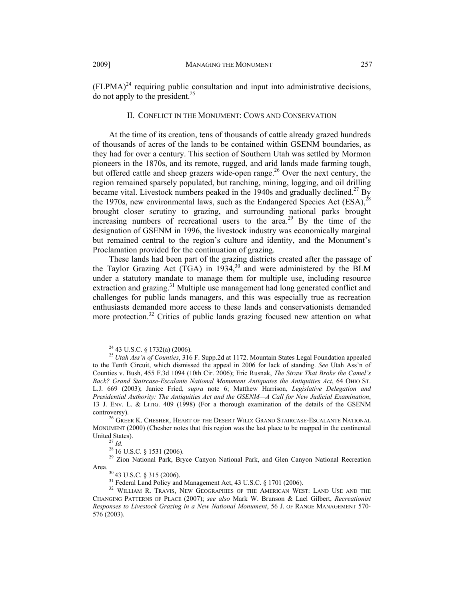$(FLPMA)^{24}$  requiring public consultation and input into administrative decisions, do not apply to the president. $^{25}$ 

#### II. CONFLICT IN THE MONUMENT: COWS AND CONSERVATION

At the time of its creation, tens of thousands of cattle already grazed hundreds of thousands of acres of the lands to be contained within GSENM boundaries, as they had for over a century. This section of Southern Utah was settled by Mormon pioneers in the 1870s, and its remote, rugged, and arid lands made farming tough, but offered cattle and sheep grazers wide-open range.<sup>26</sup> Over the next century, the region remained sparsely populated, but ranching, mining, logging, and oil drilling became vital. Livestock numbers peaked in the 1940s and gradually declined.<sup>27</sup> By the 1970s, new environmental laws, such as the Endangered Species Act  $(ESA)$ ,  $^{28}$ brought closer scrutiny to grazing, and surrounding national parks brought increasing numbers of recreational users to the area.<sup>29</sup> By the time of the designation of GSENM in 1996, the livestock industry was economically marginal but remained central to the region's culture and identity, and the Monument's Proclamation provided for the continuation of grazing.

These lands had been part of the grazing districts created after the passage of the Taylor Grazing Act (TGA) in 1934,30 and were administered by the BLM under a statutory mandate to manage them for multiple use, including resource extraction and grazing.<sup>31</sup> Multiple use management had long generated conflict and challenges for public lands managers, and this was especially true as recreation enthusiasts demanded more access to these lands and conservationists demanded more protection.<sup>32</sup> Critics of public lands grazing focused new attention on what

24 43 U.S.C. § 1732(a) (2006).

<sup>25</sup> *Utah Ass'n of Counties*, 316 F. Supp.2d at 1172. Mountain States Legal Foundation appealed to the Tenth Circuit, which dismissed the appeal in 2006 for lack of standing. *See* Utah Ass'n of Counties v. Bush, 455 F.3d 1094 (10th Cir. 2006); Eric Rusnak, *The Straw That Broke the Camel's Back? Grand Staircase-Escalante National Monument Antiquates the Antiquities Act*, 64 OHIO ST. L.J. 669 (2003); Janice Fried, *supra* note 6; Matthew Harrison, *Legislative Delegation and Presidential Authority: The Antiquities Act and the GSENM—A Call for New Judicial Examination*, 13 J. ENV. L. & LITIG. 409 (1998) (For a thorough examination of the details of the GSENM

controversy).  $^{26}$  GREER K. CHESHER, HEART OF THE DESERT WILD: GRAND STAIRCASE-ESCALANTE NATIONAL MONUMENT (2000) (Chesher notes that this region was the last place to be mapped in the continental United States).<br><sup>27</sup> *Id.* <sup>28</sup> 16 U.S.C. § 1531 (2006).<br><sup>28</sup> Zion National Park, Bryce Canyon National Park, and Glen Canyon National Recreation

Area.<br><sup>30</sup> 43 U.S.C. § 315 (2006).<br><sup>31</sup> Federal Land Policy and Management Act, 43 U.S.C. § 1701 (2006).<br><sup>32</sup> WILLIAM R. TRAVIS, NEW GEOGRAPHIES OF THE AMERICAN WEST: LAND USE AND THE CHANGING PATTERNS OF PLACE (2007); *see also* Mark W. Brunson & Lael Gilbert, *Recreationist Responses to Livestock Grazing in a New National Monument*, 56 J. OF RANGE MANAGEMENT 570- 576 (2003).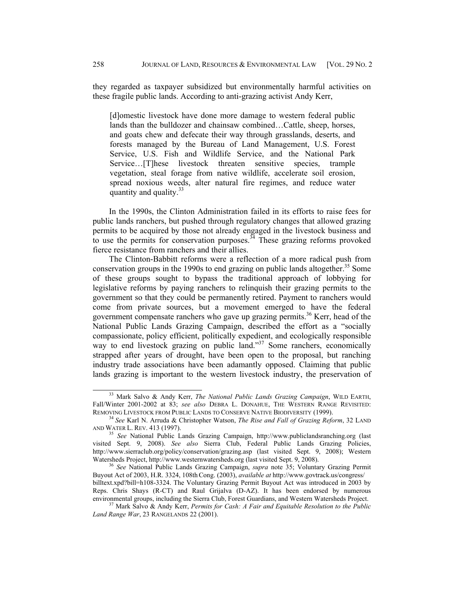they regarded as taxpayer subsidized but environmentally harmful activities on these fragile public lands. According to anti-grazing activist Andy Kerr,

[d]omestic livestock have done more damage to western federal public lands than the bulldozer and chainsaw combined…Cattle, sheep, horses, and goats chew and defecate their way through grasslands, deserts, and forests managed by the Bureau of Land Management, U.S. Forest Service, U.S. Fish and Wildlife Service, and the National Park Service…[T]hese livestock threaten sensitive species, trample vegetation, steal forage from native wildlife, accelerate soil erosion, spread noxious weeds, alter natural fire regimes, and reduce water quantity and quality.<sup>33</sup>

In the 1990s, the Clinton Administration failed in its efforts to raise fees for public lands ranchers, but pushed through regulatory changes that allowed grazing permits to be acquired by those not already engaged in the livestock business and to use the permits for conservation purposes.<sup>34</sup> These grazing reforms provoked fierce resistance from ranchers and their allies.

The Clinton-Babbitt reforms were a reflection of a more radical push from conservation groups in the 1990s to end grazing on public lands altogether.<sup>35</sup> Some of these groups sought to bypass the traditional approach of lobbying for legislative reforms by paying ranchers to relinquish their grazing permits to the government so that they could be permanently retired. Payment to ranchers would come from private sources, but a movement emerged to have the federal government compensate ranchers who gave up grazing permits.<sup>36</sup> Kerr, head of the National Public Lands Grazing Campaign, described the effort as a "socially compassionate, policy efficient, politically expedient, and ecologically responsible way to end livestock grazing on public land."<sup>37</sup> Some ranchers, economically strapped after years of drought, have been open to the proposal, but ranching industry trade associations have been adamantly opposed. Claiming that public lands grazing is important to the western livestock industry, the preservation of

33 Mark Salvo & Andy Kerr, *The National Public Lands Grazing Campaign*, WILD EARTH, Fall/Winter 2001-2002 at 83; *see also* DEBRA L. DONAHUE, THE WESTERN RANGE REVISITED:<br>REMOVING LIVESTOCK FROM PUBLIC LANDS TO CONSERVE NATIVE BIODIVERSITY (1999).

<sup>&</sup>lt;sup>34</sup> See Karl N. Arruda & Christopher Watson, *The Rise and Fall of Grazing Reform*, 32 LAND AND WATER L. REV. 413 (1997). 35 *See* National Public Lands Grazing Campaign, http://www.publiclandsranching.org (last

visited Sept. 9, 2008). *See also* Sierra Club, Federal Public Lands Grazing Policies, http://www.sierraclub.org/policy/conservation/grazing.asp (last visited Sept. 9, 2008); Western Watersheds Project, http://www.westernwatersheds.org (last visited Sept. 9, 2008).

<sup>&</sup>lt;sup>36</sup> See National Public Lands Grazing Campaign, *supra* note 35; Voluntary Grazing Permit Buyout Act of 2003, H.R. 3324, 108thCong. (2003), *available at* http://www.govtrack.us/congress/ billtext.xpd?bill=h108-3324. The Voluntary Grazing Permit Buyout Act was introduced in 2003 by Reps. Chris Shays (R-CT) and Raul Grijalva (D-AZ). It has been endorsed by numerous environmental groups, including the Sierra Club, Forest Guardians, and Western Watersheds Project. 37 Mark Salvo & Andy Kerr, *Permits for Cash: A Fair and Equitable Resolution to the Public* 

*Land Range War*, 23 RANGELANDS 22 (2001).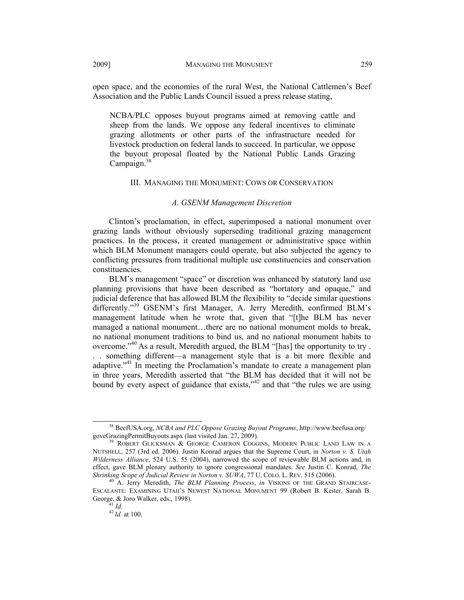Association and the Public Lands Council issued a press release stating,

open space, and the economies of the rural West, the National Cattlemen's Beef

NCBA/PLC opposes buyout programs aimed at removing cattle and sheep from the lands. We oppose any federal incentives to eliminate grazing allotments or other parts of the infrastructure needed for livestock production on federal lands to succeed. In particular, we oppose the buyout proposal floated by the National Public Lands Grazing Campaign.<sup>38</sup>

#### III. MANAGING THE MONUMENT: COWS OR CONSERVATION

### *A. GSENM Management Discretion*

Clinton's proclamation, in effect, superimposed a national monument over grazing lands without obviously superseding traditional grazing management practices. In the process, it created management or administrative space within which BLM Monument managers could operate, but also subjected the agency to conflicting pressures from traditional multiple use constituencies and conservation constituencies.

BLM's management "space" or discretion was enhanced by statutory land use planning provisions that have been described as "hortatory and opaque," and judicial deference that has allowed BLM the flexibility to "decide similar questions differently."<sup>39</sup> GSENM's first Manager, A. Jerry Meredith, confirmed BLM's management latitude when he wrote that, given that "[t]he BLM has never managed a national monument…there are no national monument molds to break, no national monument traditions to bind us, and no national monument habits to overcome."40 As a result, Meredith argued, the BLM "[has] the opportunity to try . . . something different—a management style that is a bit more flexible and adaptive.<sup>"41</sup> In meeting the Proclamation's mandate to create a management plan in three years, Meredith asserted that "the BLM has decided that it will not be bound by every aspect of guidance that exists," $42$  and that "the rules we are using

38 BeefUSA.org, *NCBA and PLC Oppose Grazing Buyout Programs*, http://www.beefusa.org/ goveGrazingPermitBuyouts.aspx (last visited Jan. 27, 2009).<br><sup>39</sup> ROBERT GLICKSMAN & GEORGE CAMERON COGGINS, MODERN PUBLIC LAND LAW IN A

NUTSHELL, 257 (3rd ed. 2006). Justin Konrad argues that the Supreme Court, in *Norton v. S. Utah Wilderness Alliance*, 524 U.S. 55 (2004), narrowed the scope of reviewable BLM actions and, in effect, gave BLM plenary authority to ignore congressional mandates. *See* Justin C. Konrad, *The* 

<sup>&</sup>lt;sup>40</sup> A. Jerry Meredith, *The BLM Planning Process*, *in* VISIONS OF THE GRAND STAIRCASE-ESCALANTE: EXAMINING UTAH'S NEWEST NATIONAL MONUMENT 99 (Robert B. Keiter, Sarah B. George, & Joro Walker, eds., 1998).<br><sup>41</sup> *Id.* <sup>42</sup> *Id.* at 100.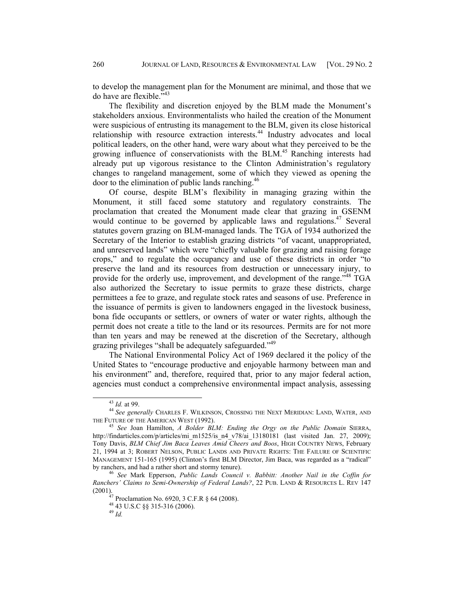to develop the management plan for the Monument are minimal, and those that we do have are flexible."43

The flexibility and discretion enjoyed by the BLM made the Monument's stakeholders anxious. Environmentalists who hailed the creation of the Monument were suspicious of entrusting its management to the BLM, given its close historical relationship with resource extraction interests.<sup>44</sup> Industry advocates and local political leaders, on the other hand, were wary about what they perceived to be the growing influence of conservationists with the BLM.<sup>45</sup> Ranching interests had already put up vigorous resistance to the Clinton Administration's regulatory changes to rangeland management, some of which they viewed as opening the door to the elimination of public lands ranching.46

Of course, despite BLM's flexibility in managing grazing within the Monument, it still faced some statutory and regulatory constraints. The proclamation that created the Monument made clear that grazing in GSENM would continue to be governed by applicable laws and regulations.<sup>47</sup> Several statutes govern grazing on BLM-managed lands. The TGA of 1934 authorized the Secretary of the Interior to establish grazing districts "of vacant, unappropriated, and unreserved lands" which were "chiefly valuable for grazing and raising forage crops," and to regulate the occupancy and use of these districts in order "to preserve the land and its resources from destruction or unnecessary injury, to provide for the orderly use, improvement, and development of the range."<sup>48</sup> TGA also authorized the Secretary to issue permits to graze these districts, charge permittees a fee to graze, and regulate stock rates and seasons of use. Preference in the issuance of permits is given to landowners engaged in the livestock business, bona fide occupants or settlers, or owners of water or water rights, although the permit does not create a title to the land or its resources. Permits are for not more than ten years and may be renewed at the discretion of the Secretary, although grazing privileges "shall be adequately safeguarded."<sup>49</sup>

The National Environmental Policy Act of 1969 declared it the policy of the United States to "encourage productive and enjoyable harmony between man and his environment" and, therefore, required that, prior to any major federal action, agencies must conduct a comprehensive environmental impact analysis, assessing

<sup>&</sup>lt;sup>43</sup> *Id.* at 99.<br><sup>44</sup> *See generally* Charles F. Wilkinson, Crossing the Next Meridian: Land, Water, and the Future of the American West (1992).

<sup>&</sup>lt;sup>45</sup> See Joan Hamilton, *A Bolder BLM: Ending the Orgy on the Public Domain* SIERRA, http://findarticles.com/p/articles/mi\_m1525/is\_n4\_v78/ai\_13180181 (last visited Jan. 27, 2009); Tony Davis, *BLM Chief Jim Baca Leaves Amid Cheers and Boos*, HIGH COUNTRY NEWS, February 21, 1994 at 3; ROBERT NELSON, PUBLIC LANDS AND PRIVATE RIGHTS: THE FAILURE OF SCIENTIFIC MANAGEMENT 151-165 (1995) (Clinton's first BLM Director, Jim Baca, was regarded as a "radical" by ranchers, and had a rather short and stormy tenure).

<sup>&</sup>lt;sup>46</sup> See Mark Epperson, *Public Lands Council v. Babbitt: Another Nail in the Coffin for Ranchers' Claims to Semi-Ownership of Federal Lands?*, 22 PUB. LAND & RESOURCES L. REV 147 (2001). 47 Proclamation No. 6920, 3 C.F.R § 64 (2008).

<sup>48 43</sup> U.S.C §§ 315-316 (2006).

<sup>49</sup> *Id.*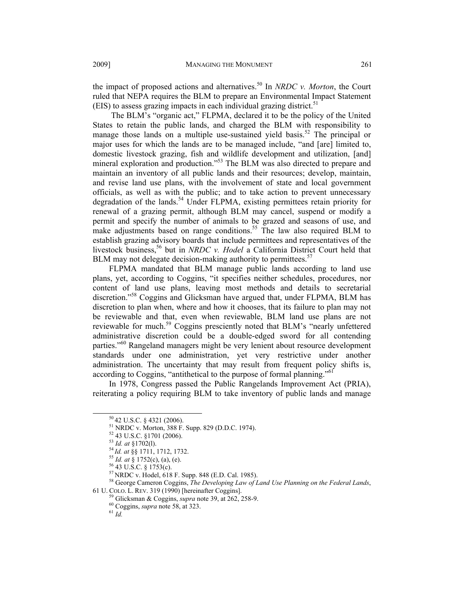the impact of proposed actions and alternatives.<sup>50</sup> In *NRDC v. Morton*, the Court ruled that NEPA requires the BLM to prepare an Environmental Impact Statement (EIS) to assess grazing impacts in each individual grazing district.<sup>51</sup>

 The BLM's "organic act," FLPMA, declared it to be the policy of the United States to retain the public lands, and charged the BLM with responsibility to manage those lands on a multiple use-sustained yield basis.<sup>52</sup> The principal or major uses for which the lands are to be managed include, "and [are] limited to, domestic livestock grazing, fish and wildlife development and utilization, [and] mineral exploration and production."53 The BLM was also directed to prepare and maintain an inventory of all public lands and their resources; develop, maintain, and revise land use plans, with the involvement of state and local government officials, as well as with the public; and to take action to prevent unnecessary degradation of the lands.<sup>54</sup> Under FLPMA, existing permittees retain priority for renewal of a grazing permit, although BLM may cancel, suspend or modify a permit and specify the number of animals to be grazed and seasons of use, and make adjustments based on range conditions.<sup>55</sup> The law also required BLM to establish grazing advisory boards that include permittees and representatives of the livestock business,<sup>56</sup> but in *NRDC v. Hodel* a California District Court held that BLM may not delegate decision-making authority to permittees.<sup>57</sup>

FLPMA mandated that BLM manage public lands according to land use plans, yet, according to Coggins, "it specifies neither schedules, procedures, nor content of land use plans, leaving most methods and details to secretarial discretion."58 Coggins and Glicksman have argued that, under FLPMA, BLM has discretion to plan when, where and how it chooses, that its failure to plan may not be reviewable and that, even when reviewable, BLM land use plans are not reviewable for much.<sup>59</sup> Coggins presciently noted that BLM's "nearly unfettered administrative discretion could be a double-edged sword for all contending parties."<sup>60</sup> Rangeland managers might be very lenient about resource development standards under one administration, yet very restrictive under another administration. The uncertainty that may result from frequent policy shifts is, according to Coggins, "antithetical to the purpose of formal planning."<sup>61</sup>

In 1978, Congress passed the Public Rangelands Improvement Act (PRIA), reiterating a policy requiring BLM to take inventory of public lands and manage

 $50$  42 U.S.C. § 4321 (2006).<br> $51$  NRDC v. Morton, 388 F. Supp. 829 (D.D.C. 1974).

 $^{52}$  43 U.S.C. §1701 (2006).<br> $^{53}$  *Id. at* §1702(1).

<sup>&</sup>lt;sup>54</sup> *Id. at* §§ 1711, 1712, 1732.<br><sup>55</sup> *Id. at* § 1752(c), (a), (e).<br><sup>56</sup> 43 U.S.C. § 1753(c).<br><sup>57</sup> NRDC v. Hodel, 618 F. Supp. 848 (E.D. Cal. 1985).

<sup>&</sup>lt;sup>58</sup> George Cameron Coggins, *The Developing Law of Land Use Planning on the Federal Lands*,

<sup>61</sup> U. COLO. L. REV. 319 (1990) [hereinafter Coggins]. 59 Glicksman & Coggins, *supra* note 39, at 262, 258-9. 60 Coggins, *supra* note 58, at 323. 61 *Id.*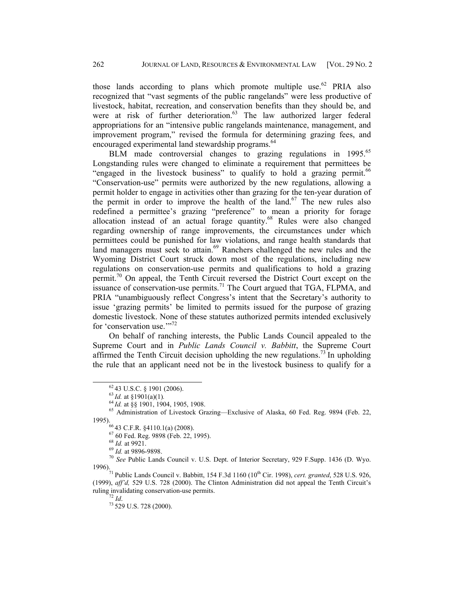those lands according to plans which promote multiple use.<sup>62</sup> PRIA also recognized that "vast segments of the public rangelands" were less productive of livestock, habitat, recreation, and conservation benefits than they should be, and were at risk of further deterioration.<sup>63</sup> The law authorized larger federal appropriations for an "intensive public rangelands maintenance, management, and improvement program," revised the formula for determining grazing fees, and encouraged experimental land stewardship programs.<sup>64</sup>

BLM made controversial changes to grazing regulations in 1995.<sup>65</sup> Longstanding rules were changed to eliminate a requirement that permittees be "engaged in the livestock business" to qualify to hold a grazing permit.<sup>66</sup> "Conservation-use" permits were authorized by the new regulations, allowing a permit holder to engage in activities other than grazing for the ten-year duration of the permit in order to improve the health of the  $\text{land}^{67}$ . The new rules also redefined a permittee's grazing "preference" to mean a priority for forage allocation instead of an actual forage quantity.<sup>68</sup> Rules were also changed regarding ownership of range improvements, the circumstances under which permittees could be punished for law violations, and range health standards that land managers must seek to attain.<sup>69</sup> Ranchers challenged the new rules and the Wyoming District Court struck down most of the regulations, including new regulations on conservation-use permits and qualifications to hold a grazing permit.<sup>70</sup> On appeal, the Tenth Circuit reversed the District Court except on the issuance of conservation-use permits.<sup>71</sup> The Court argued that TGA, FLPMA, and PRIA "unambiguously reflect Congress's intent that the Secretary's authority to issue 'grazing permits' be limited to permits issued for the purpose of grazing domestic livestock. None of these statutes authorized permits intended exclusively for 'conservation use."<sup>72</sup>

On behalf of ranching interests, the Public Lands Council appealed to the Supreme Court and in *Public Lands Council v. Babbitt*, the Supreme Court affirmed the Tenth Circuit decision upholding the new regulations.<sup>73</sup> In upholding the rule that an applicant need not be in the livestock business to qualify for a

<sup>&</sup>lt;sup>62</sup> 43 U.S.C. § 1901 (2006).<br><sup>63</sup>*Id.* at §1901(a)(1).<br><sup>64</sup>*Id.* at §§ 1901, 1904, 1905, 1908.<br><sup>65</sup> Administration of Livestock Grazing—Exclusive of Alaska, 60 Fed. Reg. 9894 (Feb. 22, 1995).<br>
<sup>66</sup> 43 C.F.R. §4110.1(a) (2008).<br>
<sup>67</sup> 60 Fed. Reg. 9898 (Feb. 22, 1995).<br>
<sup>68</sup> *Id.* at 9921.

<sup>68</sup> *Id.* at 9921. 69 *Id.* at 9896-9898. 70 *See* Public Lands Council v. U.S. Dept. of Interior Secretary, 929 F.Supp. 1436 (D. Wyo.

<sup>1996).&</sup>lt;br><sup>71</sup> Public Lands Council v. Babbitt, 154 F.3d 1160 (10<sup>th</sup> Cir. 1998), *cert. granted*, 528 U.S. 926, (1999), *aff'd,* 529 U.S. 728 (2000). The Clinton Administration did not appeal the Tenth Circuit's ruling invalidating conservation-use permits. 72 *Id*. 73 529 U.S. 728 (2000).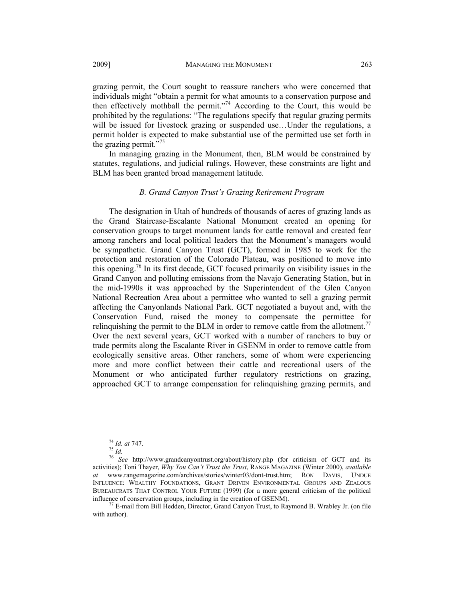grazing permit, the Court sought to reassure ranchers who were concerned that individuals might "obtain a permit for what amounts to a conservation purpose and then effectively mothball the permit."<sup>74</sup> According to the Court, this would be prohibited by the regulations: "The regulations specify that regular grazing permits will be issued for livestock grazing or suspended use…Under the regulations, a permit holder is expected to make substantial use of the permitted use set forth in the grazing permit. $\overline{575}$ 

In managing grazing in the Monument, then, BLM would be constrained by statutes, regulations, and judicial rulings. However, these constraints are light and BLM has been granted broad management latitude.

#### *B. Grand Canyon Trust's Grazing Retirement Program*

The designation in Utah of hundreds of thousands of acres of grazing lands as the Grand Staircase-Escalante National Monument created an opening for conservation groups to target monument lands for cattle removal and created fear among ranchers and local political leaders that the Monument's managers would be sympathetic. Grand Canyon Trust (GCT), formed in 1985 to work for the protection and restoration of the Colorado Plateau, was positioned to move into this opening.<sup>76</sup> In its first decade, GCT focused primarily on visibility issues in the Grand Canyon and polluting emissions from the Navajo Generating Station, but in the mid-1990s it was approached by the Superintendent of the Glen Canyon National Recreation Area about a permittee who wanted to sell a grazing permit affecting the Canyonlands National Park. GCT negotiated a buyout and, with the Conservation Fund, raised the money to compensate the permittee for relinguishing the permit to the BLM in order to remove cattle from the allotment.<sup>77</sup> Over the next several years, GCT worked with a number of ranchers to buy or trade permits along the Escalante River in GSENM in order to remove cattle from ecologically sensitive areas. Other ranchers, some of whom were experiencing more and more conflict between their cattle and recreational users of the Monument or who anticipated further regulatory restrictions on grazing, approached GCT to arrange compensation for relinquishing grazing permits, and

<sup>74</sup> *Id. at* 747. 75 *Id.*<sup>76</sup> *See* http://www.grandcanyontrust.org/about/history.php (for criticism of GCT and its activities); Toni Thayer, *Why You Can't Trust the Trust*, RANGE MAGAZINE (Winter 2000), *available at* www.rangemagazine.com/archives/stories/winter03/dont-trust.htm; RON DAVIS, UNDUE INFLUENCE: WEALTHY FOUNDATIONS, GRANT DRIVEN ENVIRONMENTAL GROUPS AND ZEALOUS BUREAUCRATS THAT CONTROL YOUR FUTURE (1999) (for a more general criticism of the political influence of conservation groups, including in the creation of GSENM).<br><sup>77</sup> E-mail from Bill Hedden, Director, Grand Canyon Trust, to Raymond B. Wrabley Jr. (on file

with author).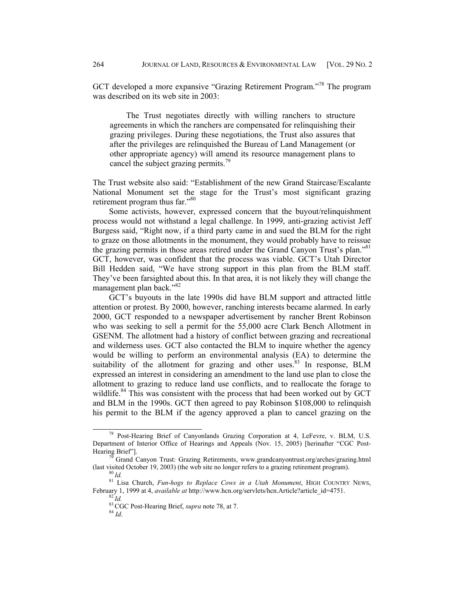GCT developed a more expansive "Grazing Retirement Program."78 The program was described on its web site in 2003:

The Trust negotiates directly with willing ranchers to structure agreements in which the ranchers are compensated for relinquishing their grazing privileges. During these negotiations, the Trust also assures that after the privileges are relinquished the Bureau of Land Management (or other appropriate agency) will amend its resource management plans to cancel the subject grazing permits.<sup>79</sup>

The Trust website also said: "Establishment of the new Grand Staircase/Escalante National Monument set the stage for the Trust's most significant grazing retirement program thus far."<sup>80</sup>

Some activists, however, expressed concern that the buyout/relinquishment process would not withstand a legal challenge. In 1999, anti-grazing activist Jeff Burgess said, "Right now, if a third party came in and sued the BLM for the right to graze on those allotments in the monument, they would probably have to reissue the grazing permits in those areas retired under the Grand Canyon Trust's plan."<sup>81</sup> GCT, however, was confident that the process was viable. GCT's Utah Director Bill Hedden said, "We have strong support in this plan from the BLM staff. They've been farsighted about this. In that area, it is not likely they will change the management plan back."<sup>82</sup>

GCT's buyouts in the late 1990s did have BLM support and attracted little attention or protest. By 2000, however, ranching interests became alarmed. In early 2000, GCT responded to a newspaper advertisement by rancher Brent Robinson who was seeking to sell a permit for the 55,000 acre Clark Bench Allotment in GSENM. The allotment had a history of conflict between grazing and recreational and wilderness uses. GCT also contacted the BLM to inquire whether the agency would be willing to perform an environmental analysis (EA) to determine the suitability of the allotment for grazing and other uses.<sup>83</sup> In response, BLM expressed an interest in considering an amendment to the land use plan to close the allotment to grazing to reduce land use conflicts, and to reallocate the forage to wildlife.<sup>84</sup> This was consistent with the process that had been worked out by GCT and BLM in the 1990s. GCT then agreed to pay Robinson \$108,000 to relinquish his permit to the BLM if the agency approved a plan to cancel grazing on the

78 Post-Hearing Brief of Canyonlands Grazing Corporation at 4, LeFevre, v. BLM, U.S. Department of Interior Office of Hearings and Appeals (Nov. 15, 2005) [herinafter "CGC Post-Hearing Brief"].

<sup>&</sup>lt;sup>79</sup> Grand Canyon Trust: Grazing Retirements, www.grandcanyontrust.org/arches/grazing.html (last visited October 19, 2003) (the web site no longer refers to a grazing retirement program).

<sup>&</sup>lt;sup>80</sup> Id.<br><sup>81</sup> Lisa Church, *Fun-hogs to Replace Cows in a Utah Monument*, HIGH COUNTRY NEWS, February 1, 1999 at 4, *available at* http://www.hcn.org/servlets/hcn.Article?article\_id=4751.<br><sup>82</sup> *Id.* 83 CGC Post-Hearing Brief, *supra* note 78, at 7. 84 *Id*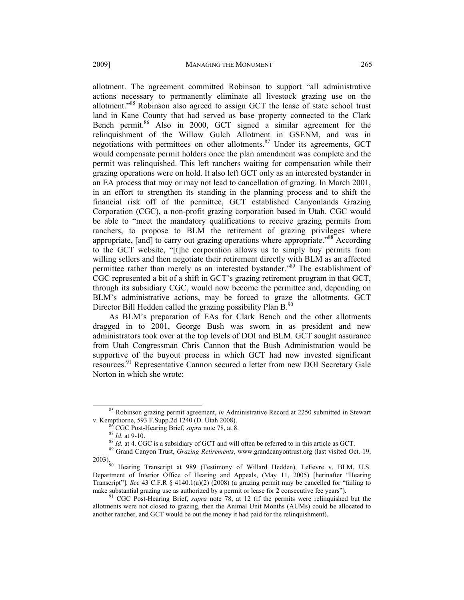allotment. The agreement committed Robinson to support "all administrative actions necessary to permanently eliminate all livestock grazing use on the allotment."<sup>85</sup> Robinson also agreed to assign GCT the lease of state school trust land in Kane County that had served as base property connected to the Clark Bench permit.<sup>86</sup> Also in 2000, GCT signed a similar agreement for the relinquishment of the Willow Gulch Allotment in GSENM, and was in negotiations with permittees on other allotments.<sup>87</sup> Under its agreements, GCT would compensate permit holders once the plan amendment was complete and the permit was relinquished. This left ranchers waiting for compensation while their grazing operations were on hold. It also left GCT only as an interested bystander in an EA process that may or may not lead to cancellation of grazing. In March 2001, in an effort to strengthen its standing in the planning process and to shift the financial risk off of the permittee, GCT established Canyonlands Grazing Corporation (CGC), a non-profit grazing corporation based in Utah. CGC would be able to "meet the mandatory qualifications to receive grazing permits from ranchers, to propose to BLM the retirement of grazing privileges where appropriate, [and] to carry out grazing operations where appropriate."<sup>88</sup> According to the GCT website, "[t]he corporation allows us to simply buy permits from willing sellers and then negotiate their retirement directly with BLM as an affected permittee rather than merely as an interested bystander."<sup>89</sup> The establishment of CGC represented a bit of a shift in GCT's grazing retirement program in that GCT, through its subsidiary CGC, would now become the permittee and, depending on BLM's administrative actions, may be forced to graze the allotments. GCT Director Bill Hedden called the grazing possibility Plan  $B^{90}$ .

As BLM's preparation of EAs for Clark Bench and the other allotments dragged in to 2001, George Bush was sworn in as president and new administrators took over at the top levels of DOI and BLM. GCT sought assurance from Utah Congressman Chris Cannon that the Bush Administration would be supportive of the buyout process in which GCT had now invested significant resources.<sup>91</sup> Representative Cannon secured a letter from new DOI Secretary Gale Norton in which she wrote:

<sup>&</sup>lt;sup>85</sup> Robinson grazing permit agreement, *in* Administrative Record at 2250 submitted in Stewart v. Kempthorne, 593 F.Supp.2d 1240 (D. Utah 2008).

<sup>&</sup>lt;sup>86</sup> CGC Post-Hearing Brief, *supra* note 78, at 8.<br><sup>87</sup> *Id.* at 9-10.<br><sup>88</sup> *Id.* at 4. CGC is a subsidiary of GCT and will often be referred to in this article as GCT.<br><sup>89</sup> Grand Canyon Trust, *Grazing Retirements*, www

<sup>2003).&</sup>lt;br><sup>90</sup> Hearing Transcript at 989 (Testimony of Willard Hedden), LeFevre v. BLM, U.S. Department of Interior Office of Hearing and Appeals, (May 11, 2005) [herinafter "Hearing Transcript"]. *See* 43 C.F.R § 4140.1(a)(2) (2008) (a grazing permit may be cancelled for "failing to make substantial grazing use as authorized by a permit or lease for 2 consecutive fee years").<br><sup>91</sup> CGC Post-Hearing Brief, *supra* note 78, at 12 (if the permits were relinquished but the

allotments were not closed to grazing, then the Animal Unit Months (AUMs) could be allocated to another rancher, and GCT would be out the money it had paid for the relinquishment).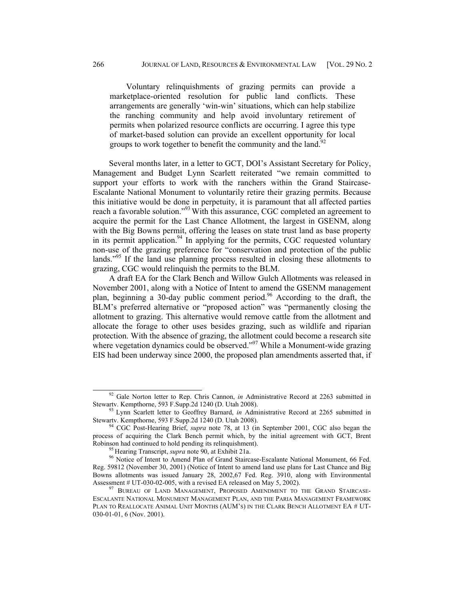Voluntary relinquishments of grazing permits can provide a marketplace-oriented resolution for public land conflicts. These arrangements are generally 'win-win' situations, which can help stabilize the ranching community and help avoid involuntary retirement of permits when polarized resource conflicts are occurring. I agree this type of market-based solution can provide an excellent opportunity for local groups to work together to benefit the community and the land.<sup>92</sup>

Several months later, in a letter to GCT, DOI's Assistant Secretary for Policy, Management and Budget Lynn Scarlett reiterated "we remain committed to support your efforts to work with the ranchers within the Grand Staircase-Escalante National Monument to voluntarily retire their grazing permits. Because this initiative would be done in perpetuity, it is paramount that all affected parties reach a favorable solution."<sup>93</sup> With this assurance, CGC completed an agreement to acquire the permit for the Last Chance Allotment, the largest in GSENM, along with the Big Bowns permit, offering the leases on state trust land as base property in its permit application. $94$  In applying for the permits, CGC requested voluntary non-use of the grazing preference for "conservation and protection of the public lands."<sup>95</sup> If the land use planning process resulted in closing these allotments to grazing, CGC would relinquish the permits to the BLM.

A draft EA for the Clark Bench and Willow Gulch Allotments was released in November 2001, along with a Notice of Intent to amend the GSENM management plan, beginning a 30-day public comment period.<sup>96</sup> According to the draft, the BLM's preferred alternative or "proposed action" was "permanently closing the allotment to grazing. This alternative would remove cattle from the allotment and allocate the forage to other uses besides grazing, such as wildlife and riparian protection. With the absence of grazing, the allotment could become a research site where vegetation dynamics could be observed.<sup>"97</sup> While a Monument-wide grazing EIS had been underway since 2000, the proposed plan amendments asserted that, if

<sup>&</sup>lt;sup>92</sup> Gale Norton letter to Rep. Chris Cannon, *in* Administrative Record at 2263 submitted in

Stewartv. Kempthorne, 593 F.Supp.2d 1240 (D. Utah 2008).<br><sup>93</sup> Lynn Scarlett letter to Geoffrey Barnard, *in* Administrative Record at 2265 submitted in Stewartv. Kempthorne, 593 F.Supp.2d 1240 (D. Utah 2008).

<sup>&</sup>lt;sup>94</sup> CGC Post-Hearing Brief, *supra* note 78, at 13 (in September 2001, CGC also began the process of acquiring the Clark Bench permit which, by the initial agreement with GCT, Brent Robinson had continued to hold pending its relinquishment).<br><sup>95</sup> Hearing Transcript, *supra* note 90, at Exhibit 21a.<br><sup>96</sup> Notice of Intent to Amend Plan of Grand Staircase-Escalante National Monument, 66 Fed.

Reg. 59812 (November 30, 2001) (Notice of Intent to amend land use plans for Last Chance and Big Bowns allotments was issued January 28, 2002,67 Fed. Reg. 3910, along with Environmental Assessment # UT-030-02-005, with a revised EA released on May 5, 2002).

<sup>&</sup>lt;sup>97</sup> BUREAU OF LAND MANAGEMENT, PROPOSED AMENDMENT TO THE GRAND STAIRCASE-ESCALANTE NATIONAL MONUMENT MANAGEMENT PLAN, AND THE PARIA MANAGEMENT FRAMEWORK PLAN TO REALLOCATE ANIMAL UNIT MONTHS (AUM'S) IN THE CLARK BENCH ALLOTMENT EA # UT-030-01-01, 6 (Nov. 2001).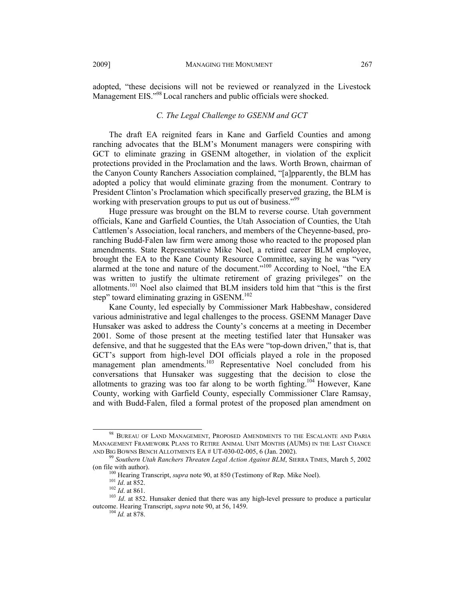adopted, "these decisions will not be reviewed or reanalyzed in the Livestock Management EIS."<sup>98</sup> Local ranchers and public officials were shocked.

## *C. The Legal Challenge to GSENM and GCT*

The draft EA reignited fears in Kane and Garfield Counties and among ranching advocates that the BLM's Monument managers were conspiring with GCT to eliminate grazing in GSENM altogether, in violation of the explicit protections provided in the Proclamation and the laws. Worth Brown, chairman of the Canyon County Ranchers Association complained, "[a]pparently, the BLM has adopted a policy that would eliminate grazing from the monument. Contrary to President Clinton's Proclamation which specifically preserved grazing, the BLM is working with preservation groups to put us out of business."<sup>99</sup>

Huge pressure was brought on the BLM to reverse course. Utah government officials, Kane and Garfield Counties, the Utah Association of Counties, the Utah Cattlemen's Association, local ranchers, and members of the Cheyenne-based, proranching Budd-Falen law firm were among those who reacted to the proposed plan amendments. State Representative Mike Noel, a retired career BLM employee, brought the EA to the Kane County Resource Committee, saying he was "very alarmed at the tone and nature of the document."100 According to Noel, "the EA was written to justify the ultimate retirement of grazing privileges" on the allotments.101 Noel also claimed that BLM insiders told him that "this is the first step" toward eliminating grazing in  $GSENM$ <sup>102</sup>

Kane County, led especially by Commissioner Mark Habbeshaw, considered various administrative and legal challenges to the process. GSENM Manager Dave Hunsaker was asked to address the County's concerns at a meeting in December 2001. Some of those present at the meeting testified later that Hunsaker was defensive, and that he suggested that the EAs were "top-down driven," that is, that GCT's support from high-level DOI officials played a role in the proposed management plan amendments.<sup>103</sup> Representative Noel concluded from his conversations that Hunsaker was suggesting that the decision to close the allotments to grazing was too far along to be worth fighting.<sup>104</sup> However, Kane County, working with Garfield County, especially Commissioner Clare Ramsay, and with Budd-Falen, filed a formal protest of the proposed plan amendment on

<sup>98</sup> BUREAU OF LAND MANAGEMENT, PROPOSED AMENDMENTS TO THE ESCALANTE AND PARIA MANAGEMENT FRAMEWORK PLANS TO RETIRE ANIMAL UNIT MONTHS (AUMS) IN THE LAST CHANCE

AND BIG BOWNS BENCH ALLOTMENTS EA # UT-030-02-005, 6 (Jan. 2002).<br><sup>99</sup> *Southern Utah Ranchers Threaten Legal Action Against BLM*, SIERRA TIMES, March 5, 2002<br>(on file with author).

<sup>&</sup>lt;sup>100</sup> Hearing Transcript, *supra* note 90, at 850 (Testimony of Rep. Mike Noel).<br><sup>101</sup> *Id.* at 852.<br><sup>102</sup> *Id.* at 861.<br><sup>102</sup> *Id.* at 861.<br><sup>103</sup> *Id.* at 852. Hunsaker denied that there was any high-level pressure to pr outcome. Hearing Transcript, *supra* note 90, at 56, 1459.<br><sup>104</sup> *Id.* at 878.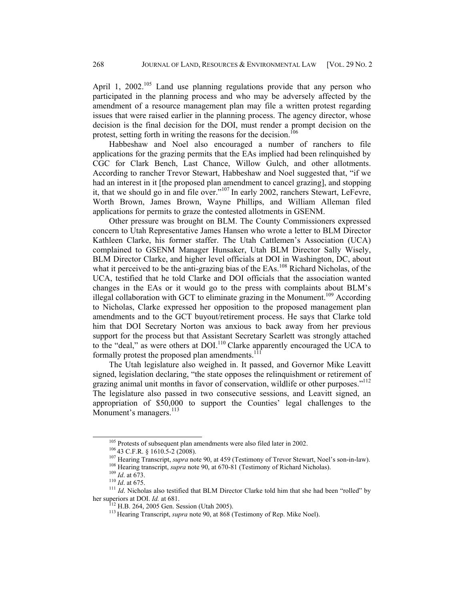April 1,  $2002$ <sup>105</sup> Land use planning regulations provide that any person who participated in the planning process and who may be adversely affected by the amendment of a resource management plan may file a written protest regarding issues that were raised earlier in the planning process. The agency director, whose decision is the final decision for the DOI, must render a prompt decision on the protest, setting forth in writing the reasons for the decision.<sup>106</sup>

Habbeshaw and Noel also encouraged a number of ranchers to file applications for the grazing permits that the EAs implied had been relinquished by CGC for Clark Bench, Last Chance, Willow Gulch, and other allotments. According to rancher Trevor Stewart, Habbeshaw and Noel suggested that, "if we had an interest in it [the proposed plan amendment to cancel grazing], and stopping it, that we should go in and file over."107 In early 2002, ranchers Stewart, LeFevre, Worth Brown, James Brown, Wayne Phillips, and William Alleman filed applications for permits to graze the contested allotments in GSENM.

Other pressure was brought on BLM. The County Commissioners expressed concern to Utah Representative James Hansen who wrote a letter to BLM Director Kathleen Clarke, his former staffer. The Utah Cattlemen's Association (UCA) complained to GSENM Manager Hunsaker, Utah BLM Director Sally Wisely, BLM Director Clarke, and higher level officials at DOI in Washington, DC, about what it perceived to be the anti-grazing bias of the EAs.<sup>108</sup> Richard Nicholas, of the UCA, testified that he told Clarke and DOI officials that the association wanted changes in the EAs or it would go to the press with complaints about BLM's illegal collaboration with GCT to eliminate grazing in the Monument.<sup>109</sup> According to Nicholas, Clarke expressed her opposition to the proposed management plan amendments and to the GCT buyout/retirement process. He says that Clarke told him that DOI Secretary Norton was anxious to back away from her previous support for the process but that Assistant Secretary Scarlett was strongly attached to the "deal," as were others at DOI.<sup>110</sup> Clarke apparently encouraged the UCA to formally protest the proposed plan amendments. $^{11}$ 

The Utah legislature also weighed in. It passed, and Governor Mike Leavitt signed, legislation declaring, "the state opposes the relinquishment or retirement of grazing animal unit months in favor of conservation, wildlife or other purposes."<sup>112</sup> The legislature also passed in two consecutive sessions, and Leavitt signed, an appropriation of \$50,000 to support the Counties' legal challenges to the Monument's managers.<sup>113</sup>

<sup>&</sup>lt;sup>105</sup> Protests of subsequent plan amendments were also filed later in 2002.<br><sup>106</sup> 43 C.F.R. § 1610.5-2 (2008).<br><sup>107</sup> Hearing Transcript, *supra* note 90, at 459 (Testimony of Trevor Stewart, Noel's son-in-law).<br><sup>108</sup> Hear her superiors at DOI. *Id.* at 681.<br><sup>112</sup> H.B. 264, 2005 Gen. Session (Utah 2005).<br><sup>113</sup> Hearing Transcript, *supra* note 90, at 868 (Testimony of Rep. Mike Noel).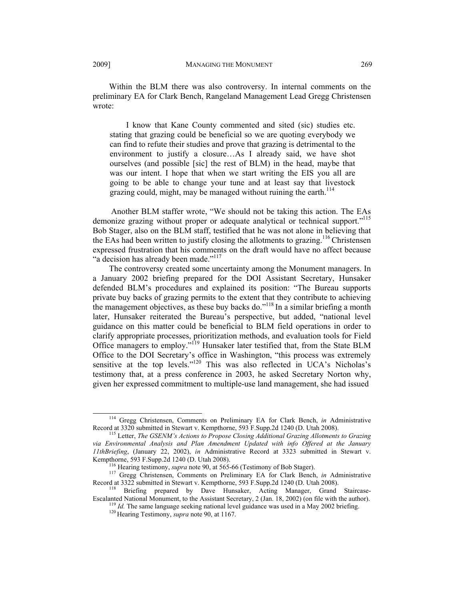Within the BLM there was also controversy. In internal comments on the preliminary EA for Clark Bench, Rangeland Management Lead Gregg Christensen wrote:

I know that Kane County commented and sited (sic) studies etc. stating that grazing could be beneficial so we are quoting everybody we can find to refute their studies and prove that grazing is detrimental to the environment to justify a closure…As I already said, we have shot ourselves (and possible [sic] the rest of BLM) in the head, maybe that was our intent. I hope that when we start writing the EIS you all are going to be able to change your tune and at least say that livestock grazing could, might, may be managed without ruining the earth.<sup>114</sup>

 Another BLM staffer wrote, "We should not be taking this action. The EAs demonize grazing without proper or adequate analytical or technical support."<sup>115</sup> Bob Stager, also on the BLM staff, testified that he was not alone in believing that the EAs had been written to justify closing the allotments to grazing.<sup>116</sup> Christensen expressed frustration that his comments on the draft would have no affect because "a decision has already been made."<sup>117</sup>

The controversy created some uncertainty among the Monument managers. In a January 2002 briefing prepared for the DOI Assistant Secretary, Hunsaker defended BLM's procedures and explained its position: "The Bureau supports private buy backs of grazing permits to the extent that they contribute to achieving the management objectives, as these buy backs do."<sup>118</sup> In a similar briefing a month later, Hunsaker reiterated the Bureau's perspective, but added, "national level guidance on this matter could be beneficial to BLM field operations in order to clarify appropriate processes, prioritization methods, and evaluation tools for Field Office managers to employ."<sup>119</sup> Hunsaker later testified that, from the State BLM Office to the DOI Secretary's office in Washington, "this process was extremely sensitive at the top levels."<sup>120</sup> This was also reflected in UCA's Nicholas's testimony that, at a press conference in 2003, he asked Secretary Norton why, given her expressed commitment to multiple-use land management, she had issued

<sup>&</sup>lt;sup>114</sup> Gregg Christensen, Comments on Preliminary EA for Clark Bench, *in* Administrative Record at 3320 submitted in Stewart v. Kempthorne, 593 F.Supp.2d 1240 (D. Utah 2008).

<sup>&</sup>lt;sup>115</sup> Letter, *The GSENM's Actions to Propose Closing Additional Grazing Allotments to Grazing via Environmental Analysis and Plan Amendment Updated with info Offered at the January 11thBriefing*, (January 22, 2002), *in* Administrative Record at 3323 submitted in Stewart v.

<sup>&</sup>lt;sup>116</sup> Hearing testimony, *supra* note 90, at 565-66 (Testimony of Bob Stager).<br><sup>117</sup> Gregg Christensen, Comments on Preliminary EA for Clark Bench, *in* Administrative<br>Record at 3322 submitted in Stewart v. Kempthorne, 593

<sup>&</sup>lt;sup>118</sup> Briefing prepared by Dave Hunsaker, Acting Manager, Grand Staircase-Escalanted National Monument, to the Assistant Secretary, 2 (Jan. 18, 2002) (on file with the author).<br><sup>119</sup> *Id*. The same language seeking national level guidance was used in a May 2002 briefing.<br><sup>120</sup> Hearing Testimony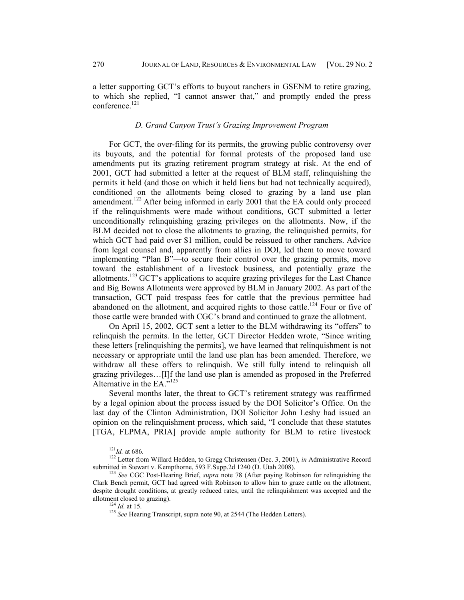a letter supporting GCT's efforts to buyout ranchers in GSENM to retire grazing, to which she replied, "I cannot answer that," and promptly ended the press conference<sup>121</sup>

## *D. Grand Canyon Trust's Grazing Improvement Program*

For GCT, the over-filing for its permits, the growing public controversy over its buyouts, and the potential for formal protests of the proposed land use amendments put its grazing retirement program strategy at risk. At the end of 2001, GCT had submitted a letter at the request of BLM staff, relinquishing the permits it held (and those on which it held liens but had not technically acquired), conditioned on the allotments being closed to grazing by a land use plan amendment.<sup>122</sup> After being informed in early 2001 that the EA could only proceed if the relinquishments were made without conditions, GCT submitted a letter unconditionally relinquishing grazing privileges on the allotments. Now, if the BLM decided not to close the allotments to grazing, the relinquished permits, for which GCT had paid over \$1 million, could be reissued to other ranchers. Advice from legal counsel and, apparently from allies in DOI, led them to move toward implementing "Plan B"—to secure their control over the grazing permits, move toward the establishment of a livestock business, and potentially graze the allotments.123 GCT's applications to acquire grazing privileges for the Last Chance and Big Bowns Allotments were approved by BLM in January 2002. As part of the transaction, GCT paid trespass fees for cattle that the previous permittee had abandoned on the allotment, and acquired rights to those cattle.<sup>124</sup> Four or five of those cattle were branded with CGC's brand and continued to graze the allotment.

On April 15, 2002, GCT sent a letter to the BLM withdrawing its "offers" to relinquish the permits. In the letter, GCT Director Hedden wrote, "Since writing these letters [relinquishing the permits], we have learned that relinquishment is not necessary or appropriate until the land use plan has been amended. Therefore, we withdraw all these offers to relinquish. We still fully intend to relinquish all grazing privileges…[I]f the land use plan is amended as proposed in the Preferred Alternative in the EA."125

Several months later, the threat to GCT's retirement strategy was reaffirmed by a legal opinion about the process issued by the DOI Solicitor's Office. On the last day of the Clinton Administration, DOI Solicitor John Leshy had issued an opinion on the relinquishment process, which said, "I conclude that these statutes [TGA, FLPMA, PRIA] provide ample authority for BLM to retire livestock

<sup>&</sup>lt;sup>121</sup>*Id.* at 686.<br><sup>122</sup> Letter from Willard Hedden, to Gregg Christensen (Dec. 3, 2001), *in* Administrative Record submitted in Stewart v. Kempthorne, 593 F.Supp.2d 1240 (D. Utah 2008).

<sup>&</sup>lt;sup>123</sup> See CGC Post-Hearing Brief, *supra* note 78 (After paying Robinson for relinquishing the Clark Bench permit, GCT had agreed with Robinson to allow him to graze cattle on the allotment, despite drought conditions, at greatly reduced rates, until the relinquishment was accepted and the allotment closed to grazing).<br><sup>124</sup> *Id.* at 15. <sup>125</sup> *See* Hearing Transcript, supra note 90, at 2544 (The Hedden Letters).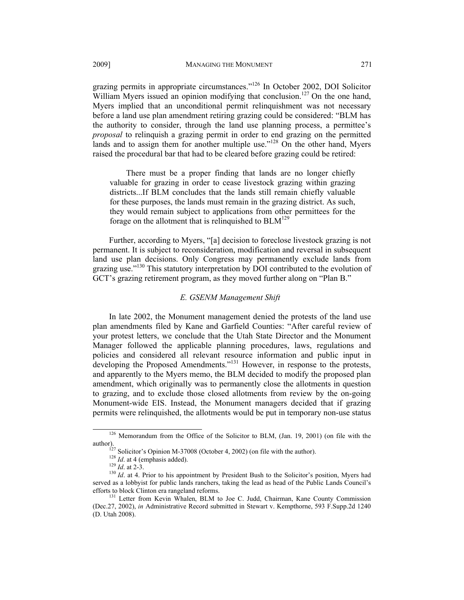grazing permits in appropriate circumstances."126 In October 2002, DOI Solicitor William Myers issued an opinion modifying that conclusion.<sup>127</sup> On the one hand, Myers implied that an unconditional permit relinquishment was not necessary before a land use plan amendment retiring grazing could be considered: "BLM has the authority to consider, through the land use planning process, a permittee's *proposal* to relinquish a grazing permit in order to end grazing on the permitted lands and to assign them for another multiple use."<sup>128</sup> On the other hand, Myers raised the procedural bar that had to be cleared before grazing could be retired:

There must be a proper finding that lands are no longer chiefly valuable for grazing in order to cease livestock grazing within grazing districts...If BLM concludes that the lands still remain chiefly valuable for these purposes, the lands must remain in the grazing district. As such, they would remain subject to applications from other permittees for the forage on the allotment that is relinquished to  $BLM<sup>129</sup>$ 

Further, according to Myers, "[a] decision to foreclose livestock grazing is not permanent. It is subject to reconsideration, modification and reversal in subsequent land use plan decisions. Only Congress may permanently exclude lands from grazing use."<sup>130</sup> This statutory interpretation by DOI contributed to the evolution of GCT's grazing retirement program, as they moved further along on "Plan B."

#### *E. GSENM Management Shift*

In late 2002, the Monument management denied the protests of the land use plan amendments filed by Kane and Garfield Counties: "After careful review of your protest letters, we conclude that the Utah State Director and the Monument Manager followed the applicable planning procedures, laws, regulations and policies and considered all relevant resource information and public input in developing the Proposed Amendments."131 However, in response to the protests, and apparently to the Myers memo, the BLM decided to modify the proposed plan amendment, which originally was to permanently close the allotments in question to grazing, and to exclude those closed allotments from review by the on-going Monument-wide EIS. Instead, the Monument managers decided that if grazing permits were relinquished, the allotments would be put in temporary non-use status

<sup>&</sup>lt;sup>126</sup> Memorandum from the Office of the Solicitor to BLM, (Jan. 19, 2001) (on file with the author).<br>
<sup>127</sup> Solicitor's Opinion M-37008 (October 4, 2002) (on file with the author).<br>
<sup>128</sup> *Id.* at 4 (emphasis added).<br>
<sup>129</sup> *Id.* at 2-3.<br>
<sup>130</sup> *Id.* at 4. Prior to his appointment by President Bush to the Solici

served as a lobbyist for public lands ranchers, taking the lead as head of the Public Lands Council's efforts to block Clinton era rangeland reforms.<br><sup>131</sup> Letter from Kevin Whalen, BLM to Joe C. Judd, Chairman, Kane County Commission

<sup>(</sup>Dec.27, 2002), *in* Administrative Record submitted in Stewart v. Kempthorne, 593 F.Supp.2d 1240 (D. Utah 2008).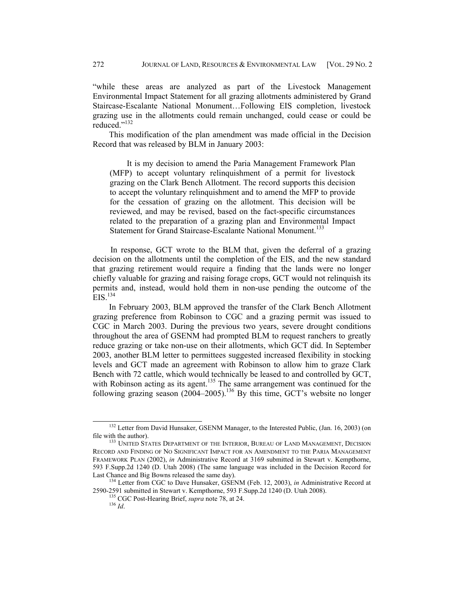"while these areas are analyzed as part of the Livestock Management Environmental Impact Statement for all grazing allotments administered by Grand Staircase-Escalante National Monument…Following EIS completion, livestock grazing use in the allotments could remain unchanged, could cease or could be reduced."132

This modification of the plan amendment was made official in the Decision Record that was released by BLM in January 2003:

It is my decision to amend the Paria Management Framework Plan (MFP) to accept voluntary relinquishment of a permit for livestock grazing on the Clark Bench Allotment. The record supports this decision to accept the voluntary relinquishment and to amend the MFP to provide for the cessation of grazing on the allotment. This decision will be reviewed, and may be revised, based on the fact-specific circumstances related to the preparation of a grazing plan and Environmental Impact Statement for Grand Staircase-Escalante National Monument.<sup>133</sup>

In response, GCT wrote to the BLM that, given the deferral of a grazing decision on the allotments until the completion of the EIS, and the new standard that grazing retirement would require a finding that the lands were no longer chiefly valuable for grazing and raising forage crops, GCT would not relinquish its permits and, instead, would hold them in non-use pending the outcome of the  $EIS.<sup>134</sup>$ 

In February 2003, BLM approved the transfer of the Clark Bench Allotment grazing preference from Robinson to CGC and a grazing permit was issued to CGC in March 2003. During the previous two years, severe drought conditions throughout the area of GSENM had prompted BLM to request ranchers to greatly reduce grazing or take non-use on their allotments, which GCT did. In September 2003, another BLM letter to permittees suggested increased flexibility in stocking levels and GCT made an agreement with Robinson to allow him to graze Clark Bench with 72 cattle, which would technically be leased to and controlled by GCT, with Robinson acting as its agent.<sup>135</sup> The same arrangement was continued for the following grazing season  $(2004-2005)$ .<sup>136</sup> By this time, GCT's website no longer

<sup>&</sup>lt;sup>132</sup> Letter from David Hunsaker, GSENM Manager, to the Interested Public, (Jan. 16, 2003) (on file with the author).

<sup>&</sup>lt;sup>133</sup> UNITED STATES DEPARTMENT OF THE INTERIOR, BUREAU OF LAND MANAGEMENT, DECISION RECORD AND FINDING OF NO SIGNIFICANT IMPACT FOR AN AMENDMENT TO THE PARIA MANAGEMENT FRAMEWORK PLAN (2002), *in* Administrative Record at 3169 submitted in Stewart v. Kempthorne, 593 F.Supp.2d 1240 (D. Utah 2008) (The same language was included in the Decision Record for

<sup>&</sup>lt;sup>134</sup> Letter from CGC to Dave Hunsaker, GSENM (Feb. 12, 2003), *in* Administrative Record at 2590-2591 submitted in Stewart v. Kempthorne, 593 F.Supp.2d 1240 (D. Utah 2008). 135 CGC Post-Hearing Brief, *supra* note 78, at 24. 136 *Id*.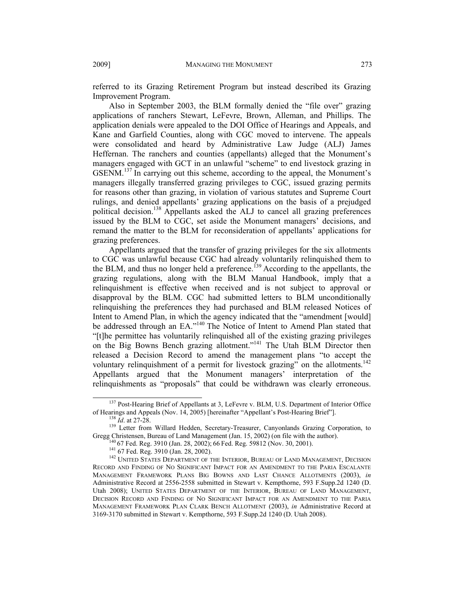referred to its Grazing Retirement Program but instead described its Grazing Improvement Program.

Also in September 2003, the BLM formally denied the "file over" grazing applications of ranchers Stewart, LeFevre, Brown, Alleman, and Phillips. The application denials were appealed to the DOI Office of Hearings and Appeals, and Kane and Garfield Counties, along with CGC moved to intervene. The appeals were consolidated and heard by Administrative Law Judge (ALJ) James Heffernan. The ranchers and counties (appellants) alleged that the Monument's managers engaged with GCT in an unlawful "scheme" to end livestock grazing in GSENM.<sup>137</sup> In carrying out this scheme, according to the appeal, the Monument's managers illegally transferred grazing privileges to CGC, issued grazing permits for reasons other than grazing, in violation of various statutes and Supreme Court rulings, and denied appellants' grazing applications on the basis of a prejudged political decision.<sup>138</sup> Appellants asked the ALJ to cancel all grazing preferences issued by the BLM to CGC, set aside the Monument managers' decisions, and remand the matter to the BLM for reconsideration of appellants' applications for grazing preferences.

Appellants argued that the transfer of grazing privileges for the six allotments to CGC was unlawful because CGC had already voluntarily relinquished them to the BLM, and thus no longer held a preference.139 According to the appellants, the grazing regulations, along with the BLM Manual Handbook, imply that a relinquishment is effective when received and is not subject to approval or disapproval by the BLM. CGC had submitted letters to BLM unconditionally relinquishing the preferences they had purchased and BLM released Notices of Intent to Amend Plan, in which the agency indicated that the "amendment [would] be addressed through an EA."<sup>140</sup> The Notice of Intent to Amend Plan stated that "[t]he permittee has voluntarily relinquished all of the existing grazing privileges on the Big Bowns Bench grazing allotment."<sup>141</sup> The Utah BLM Director then released a Decision Record to amend the management plans "to accept the voluntary relinquishment of a permit for livestock grazing" on the allotments.<sup>142</sup> Appellants argued that the Monument managers' interpretation of the relinquishments as "proposals" that could be withdrawn was clearly erroneous.

<sup>&</sup>lt;sup>137</sup> Post-Hearing Brief of Appellants at 3, LeFevre v. BLM, U.S. Department of Interior Office of Hearings and Appeals (Nov. 14, 2005) [hereinafter "Appellant's Post-Hearing Brief"].<br><sup>138</sup> *Id.* at 27-28.<br><sup>139</sup> Letter from Willard Hedden, Secretary-Treasurer, Canyonlands Grazing Corporation, to

Gregg Christensen, Bureau of Land Management (Jan. 15, 2002) (on file with the author).<br><sup>140</sup> 67 Fed. Reg. 3910 (Jan. 28, 2002); 66 Fed. Reg. 59812 (Nov. 30, 2001).<br><sup>141</sup> 67 Fed. Reg. 3910 (Jan. 28, 2002).<br><sup>142</sup> UNITED STA

RECORD AND FINDING OF NO SIGNIFICANT IMPACT FOR AN AMENDMENT TO THE PARIA ESCALANTE MANAGEMENT FRAMEWORK PLANS BIG BOWNS AND LAST CHANCE ALLOTMENTS (2003), *in* Administrative Record at 2556-2558 submitted in Stewart v. Kempthorne, 593 F.Supp.2d 1240 (D. Utah 2008); UNITED STATES DEPARTMENT OF THE INTERIOR, BUREAU OF LAND MANAGEMENT, DECISION RECORD AND FINDING OF NO SIGNIFICANT IMPACT FOR AN AMENDMENT TO THE PARIA MANAGEMENT FRAMEWORK PLAN CLARK BENCH ALLOTMENT (2003), *in* Administrative Record at 3169-3170 submitted in Stewart v. Kempthorne, 593 F.Supp.2d 1240 (D. Utah 2008).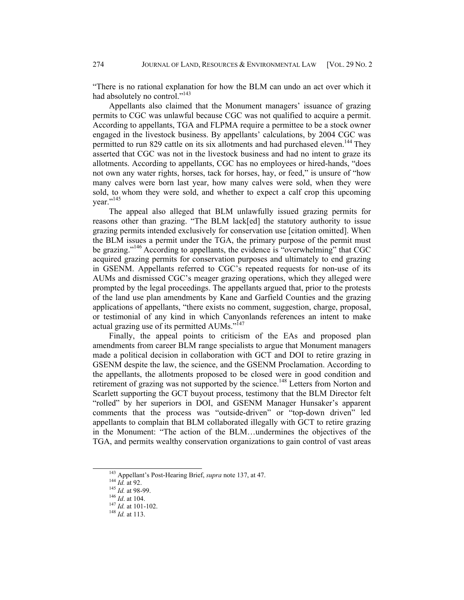"There is no rational explanation for how the BLM can undo an act over which it had absolutely no control."<sup>143</sup>

Appellants also claimed that the Monument managers' issuance of grazing permits to CGC was unlawful because CGC was not qualified to acquire a permit. According to appellants, TGA and FLPMA require a permittee to be a stock owner engaged in the livestock business. By appellants' calculations, by 2004 CGC was permitted to run 829 cattle on its six allotments and had purchased eleven.<sup>144</sup> They asserted that CGC was not in the livestock business and had no intent to graze its allotments. According to appellants, CGC has no employees or hired-hands, "does not own any water rights, horses, tack for horses, hay, or feed," is unsure of "how many calves were born last year, how many calves were sold, when they were sold, to whom they were sold, and whether to expect a calf crop this upcoming year."<sup>145</sup>

The appeal also alleged that BLM unlawfully issued grazing permits for reasons other than grazing. "The BLM lack[ed] the statutory authority to issue grazing permits intended exclusively for conservation use [citation omitted]. When the BLM issues a permit under the TGA, the primary purpose of the permit must be grazing."<sup>146</sup> According to appellants, the evidence is "overwhelming" that CGC acquired grazing permits for conservation purposes and ultimately to end grazing in GSENM. Appellants referred to CGC's repeated requests for non-use of its AUMs and dismissed CGC's meager grazing operations, which they alleged were prompted by the legal proceedings. The appellants argued that, prior to the protests of the land use plan amendments by Kane and Garfield Counties and the grazing applications of appellants, "there exists no comment, suggestion, charge, proposal, or testimonial of any kind in which Canyonlands references an intent to make actual grazing use of its permitted AUMs."<sup>147</sup>

Finally, the appeal points to criticism of the EAs and proposed plan amendments from career BLM range specialists to argue that Monument managers made a political decision in collaboration with GCT and DOI to retire grazing in GSENM despite the law, the science, and the GSENM Proclamation. According to the appellants, the allotments proposed to be closed were in good condition and retirement of grazing was not supported by the science.<sup>148</sup> Letters from Norton and Scarlett supporting the GCT buyout process, testimony that the BLM Director felt "rolled" by her superiors in DOI, and GSENM Manager Hunsaker's apparent comments that the process was "outside-driven" or "top-down driven" led appellants to complain that BLM collaborated illegally with GCT to retire grazing in the Monument: "The action of the BLM…undermines the objectives of the TGA, and permits wealthy conservation organizations to gain control of vast areas

<sup>&</sup>lt;sup>143</sup> Appellant's Post-Hearing Brief, *supra* note 137, at 47.<br><sup>144</sup> *Id.* at 92.<br><sup>145</sup> *Id.* at 104.<br><sup>147</sup> *Id.* at 101-102.<br><sup>148</sup> *Id.* at 113.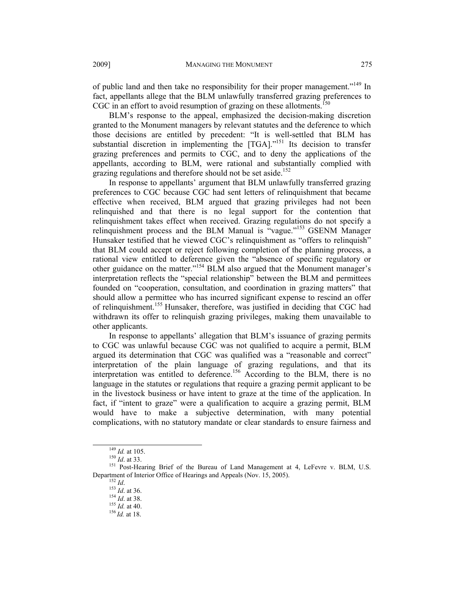of public land and then take no responsibility for their proper management."149 In fact, appellants allege that the BLM unlawfully transferred grazing preferences to CGC in an effort to avoid resumption of grazing on these allotments.<sup>150</sup>

BLM's response to the appeal, emphasized the decision-making discretion granted to the Monument managers by relevant statutes and the deference to which those decisions are entitled by precedent: "It is well-settled that BLM has substantial discretion in implementing the [TGA]."<sup>151</sup> Its decision to transfer grazing preferences and permits to CGC, and to deny the applications of the appellants, according to BLM, were rational and substantially complied with grazing regulations and therefore should not be set aside.<sup>152</sup>

In response to appellants' argument that BLM unlawfully transferred grazing preferences to CGC because CGC had sent letters of relinquishment that became effective when received, BLM argued that grazing privileges had not been relinquished and that there is no legal support for the contention that relinquishment takes effect when received. Grazing regulations do not specify a relinquishment process and the BLM Manual is "vague."153 GSENM Manager Hunsaker testified that he viewed CGC's relinquishment as "offers to relinquish" that BLM could accept or reject following completion of the planning process, a rational view entitled to deference given the "absence of specific regulatory or other guidance on the matter."154 BLM also argued that the Monument manager's interpretation reflects the "special relationship" between the BLM and permittees founded on "cooperation, consultation, and coordination in grazing matters" that should allow a permittee who has incurred significant expense to rescind an offer of relinquishment.<sup>155</sup> Hunsaker, therefore, was justified in deciding that CGC had withdrawn its offer to relinquish grazing privileges, making them unavailable to other applicants.

In response to appellants' allegation that BLM's issuance of grazing permits to CGC was unlawful because CGC was not qualified to acquire a permit, BLM argued its determination that CGC was qualified was a "reasonable and correct" interpretation of the plain language of grazing regulations, and that its interpretation was entitled to deference.<sup>156</sup> According to the BLM, there is no language in the statutes or regulations that require a grazing permit applicant to be in the livestock business or have intent to graze at the time of the application. In fact, if "intent to graze" were a qualification to acquire a grazing permit, BLM would have to make a subjective determination, with many potential complications, with no statutory mandate or clear standards to ensure fairness and

<sup>&</sup>lt;sup>149</sup> *Id.* at 105.<br><sup>150</sup> *Id.* at 33.<br><sup>151</sup> Post-Hearing Brief of the Bureau of Land Management at 4, LeFevre v. BLM, U.S. Department of Interior Office of Hearings and Appeals (Nov. 15, 2005).<br><sup>152</sup> *Id.* 153 *Id.* at 36. <sup>154</sup> *Id.* at 38. <sup>155</sup> *Id.* at 40. <sup>156</sup> *Id.* at 18.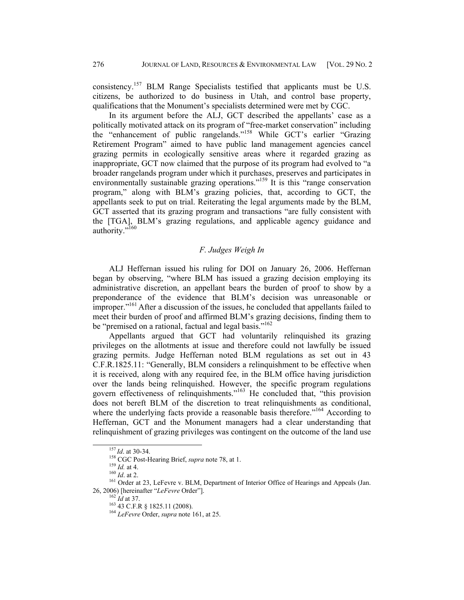consistency.157 BLM Range Specialists testified that applicants must be U.S. citizens, be authorized to do business in Utah, and control base property, qualifications that the Monument's specialists determined were met by CGC.

In its argument before the ALJ, GCT described the appellants' case as a politically motivated attack on its program of "free-market conservation" including the "enhancement of public rangelands."158 While GCT's earlier "Grazing Retirement Program" aimed to have public land management agencies cancel grazing permits in ecologically sensitive areas where it regarded grazing as inappropriate, GCT now claimed that the purpose of its program had evolved to "a broader rangelands program under which it purchases, preserves and participates in environmentally sustainable grazing operations."<sup>159</sup> It is this "range conservation program," along with BLM's grazing policies, that, according to GCT, the appellants seek to put on trial. Reiterating the legal arguments made by the BLM, GCT asserted that its grazing program and transactions "are fully consistent with the [TGA], BLM's grazing regulations, and applicable agency guidance and authority."<sup>160</sup>

## *F. Judges Weigh In*

ALJ Heffernan issued his ruling for DOI on January 26, 2006. Heffernan began by observing, "where BLM has issued a grazing decision employing its administrative discretion, an appellant bears the burden of proof to show by a preponderance of the evidence that BLM's decision was unreasonable or improper."<sup>161</sup> After a discussion of the issues, he concluded that appellants failed to meet their burden of proof and affirmed BLM's grazing decisions, finding them to be "premised on a rational, factual and legal basis."<sup>162</sup>

Appellants argued that GCT had voluntarily relinquished its grazing privileges on the allotments at issue and therefore could not lawfully be issued grazing permits. Judge Heffernan noted BLM regulations as set out in 43 C.F.R.1825.11: "Generally, BLM considers a relinquishment to be effective when it is received, along with any required fee, in the BLM office having jurisdiction over the lands being relinquished. However, the specific program regulations govern effectiveness of relinquishments."163 He concluded that, "this provision does not bereft BLM of the discretion to treat relinquishments as conditional, where the underlying facts provide a reasonable basis therefore."<sup>164</sup> According to Heffernan, GCT and the Monument managers had a clear understanding that relinquishment of grazing privileges was contingent on the outcome of the land use

<sup>&</sup>lt;sup>157</sup>*Id.* at 30-34.<br><sup>158</sup> CGC Post-Hearing Brief, *supra* note 78, at 1.<br><sup>159</sup>*Id.* at 4.<br><sup>161</sup> Order at 23, LeFevre v. BLM, Department of Interior Office of Hearings and Appeals (Jan.<br>26, 2006) [hereinafter "*LeFevre* Or

<sup>&</sup>lt;sup>162</sup>*Id* at 37.<br><sup>163</sup> 43 C.F.R § 1825.11 (2008).<br><sup>164</sup> *LeFevre* Order, *supra* note 161, at 25.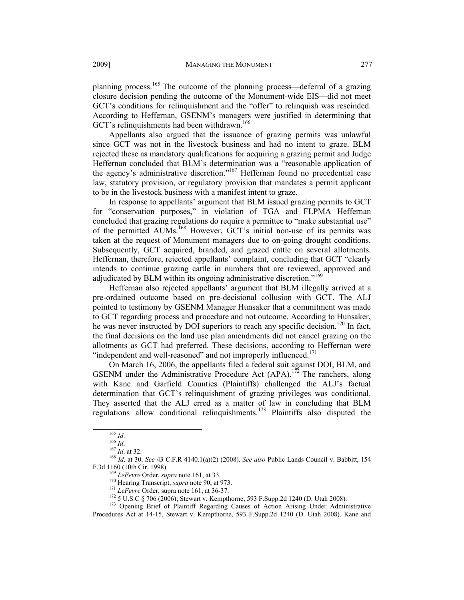planning process.165 The outcome of the planning process—deferral of a grazing closure decision pending the outcome of the Monument-wide EIS—did not meet GCT's conditions for relinquishment and the "offer" to relinquish was rescinded. According to Heffernan, GSENM's managers were justified in determining that GCT's relinquishments had been withdrawn.<sup>166</sup>

Appellants also argued that the issuance of grazing permits was unlawful since GCT was not in the livestock business and had no intent to graze. BLM rejected these as mandatory qualifications for acquiring a grazing permit and Judge Heffernan concluded that BLM's determination was a "reasonable application of the agency's administrative discretion."<sup>167</sup> Heffernan found no precedential case law, statutory provision, or regulatory provision that mandates a permit applicant to be in the livestock business with a manifest intent to graze.

In response to appellants' argument that BLM issued grazing permits to GCT for "conservation purposes," in violation of TGA and FLPMA Heffernan concluded that grazing regulations do require a permittee to "make substantial use" of the permitted AUMs.168 However, GCT's initial non-use of its permits was taken at the request of Monument managers due to on-going drought conditions. Subsequently, GCT acquired, branded, and grazed cattle on several allotments. Heffernan, therefore, rejected appellants' complaint, concluding that GCT "clearly intends to continue grazing cattle in numbers that are reviewed, approved and adjudicated by BLM within its ongoing administrative discretion."<sup>169</sup>

Heffernan also rejected appellants' argument that BLM illegally arrived at a pre-ordained outcome based on pre-decisional collusion with GCT. The ALJ pointed to testimony by GSENM Manager Hunsaker that a commitment was made to GCT regarding process and procedure and not outcome. According to Hunsaker, he was never instructed by DOI superiors to reach any specific decision.<sup>170</sup> In fact, the final decisions on the land use plan amendments did not cancel grazing on the allotments as GCT had preferred. These decisions, according to Heffernan were "independent and well-reasoned" and not improperly influenced.<sup>171</sup>

On March 16, 2006, the appellants filed a federal suit against DOI, BLM, and GSENM under the Administrative Procedure Act  $(APA)$ .<sup>172</sup> The ranchers, along with Kane and Garfield Counties (Plaintiffs) challenged the ALJ's factual determination that GCT's relinquishment of grazing privileges was conditional. They asserted that the ALJ erred as a matter of law in concluding that BLM regulations allow conditional relinquishments.173 Plaintiffs also disputed the

<sup>&</sup>lt;sup>165</sup> *Id.* <sup>166</sup> *Id.* <sup>166</sup> *Id.* <br><sup>166</sup> *Id.* at 32. <sup>168</sup> *Id.* at 30. *See* 43 C.F.R 4140.1(a)(2) (2008). *See also* Public Lands Council v. Babbitt, 154 F.3d 1160 (10th Cir. 1998).

<sup>&</sup>lt;sup>169</sup> LeFevre Order, *supra* note 161, at 33.<br><sup>170</sup> Hearing Transcript, *supra* note 90, at 973.<br><sup>171</sup> LeFevre Order, supra note 161, at 36-37.<br><sup>172</sup> 5 U.S.C § 706 (2006); Stewart v. Kempthorne, 593 F.Supp.2d 1240 (D. Uta Procedures Act at 14-15, Stewart v. Kempthorne, 593 F.Supp.2d 1240 (D. Utah 2008). Kane and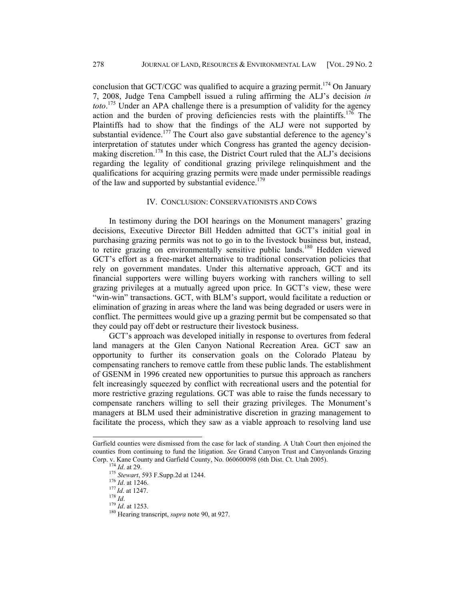conclusion that GCT/CGC was qualified to acquire a grazing permit.<sup>174</sup> On January 7, 2008, Judge Tena Campbell issued a ruling affirming the ALJ's decision *in toto*. 175 Under an APA challenge there is a presumption of validity for the agency action and the burden of proving deficiencies rests with the plaintiffs.<sup>176</sup> The Plaintiffs had to show that the findings of the ALJ were not supported by substantial evidence.<sup>177</sup> The Court also gave substantial deference to the agency's interpretation of statutes under which Congress has granted the agency decisionmaking discretion.<sup>178</sup> In this case, the District Court ruled that the ALJ's decisions regarding the legality of conditional grazing privilege relinquishment and the qualifications for acquiring grazing permits were made under permissible readings of the law and supported by substantial evidence.<sup>179</sup>

#### IV. CONCLUSION: CONSERVATIONISTS AND COWS

In testimony during the DOI hearings on the Monument managers' grazing decisions, Executive Director Bill Hedden admitted that GCT's initial goal in purchasing grazing permits was not to go in to the livestock business but, instead, to retire grazing on environmentally sensitive public lands.<sup>180</sup> Hedden viewed GCT's effort as a free-market alternative to traditional conservation policies that rely on government mandates. Under this alternative approach, GCT and its financial supporters were willing buyers working with ranchers willing to sell grazing privileges at a mutually agreed upon price. In GCT's view, these were "win-win" transactions. GCT, with BLM's support, would facilitate a reduction or elimination of grazing in areas where the land was being degraded or users were in conflict. The permittees would give up a grazing permit but be compensated so that they could pay off debt or restructure their livestock business.

GCT's approach was developed initially in response to overtures from federal land managers at the Glen Canyon National Recreation Area. GCT saw an opportunity to further its conservation goals on the Colorado Plateau by compensating ranchers to remove cattle from these public lands. The establishment of GSENM in 1996 created new opportunities to pursue this approach as ranchers felt increasingly squeezed by conflict with recreational users and the potential for more restrictive grazing regulations. GCT was able to raise the funds necessary to compensate ranchers willing to sell their grazing privileges. The Monument's managers at BLM used their administrative discretion in grazing management to facilitate the process, which they saw as a viable approach to resolving land use

÷,

Garfield counties were dismissed from the case for lack of standing. A Utah Court then enjoined the counties from continuing to fund the litigation. *See* Grand Canyon Trust and Canyonlands Grazing Corp. v. Kane County and Garfield County, No. 060600098 (6th Dist. Ct. Utah 2005).<br>
<sup>174</sup> *Id.* at 29.<br>
<sup>175</sup> *Stewart*, 593 F.Supp.2d at 1244.<br>
<sup>176</sup> *Id.* at 1246.<br>
<sup>177</sup> *Id.* at 1247.<br>
<sup>178</sup> *Id.*<br>
<sup>179</sup> *Id.* at 1253.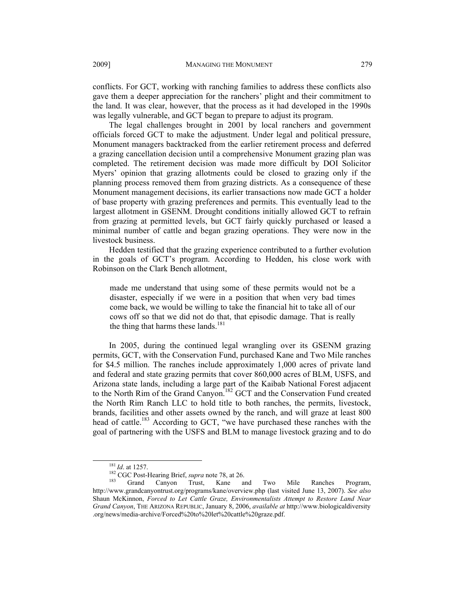conflicts. For GCT, working with ranching families to address these conflicts also gave them a deeper appreciation for the ranchers' plight and their commitment to the land. It was clear, however, that the process as it had developed in the 1990s was legally vulnerable, and GCT began to prepare to adjust its program.

The legal challenges brought in 2001 by local ranchers and government officials forced GCT to make the adjustment. Under legal and political pressure, Monument managers backtracked from the earlier retirement process and deferred a grazing cancellation decision until a comprehensive Monument grazing plan was completed. The retirement decision was made more difficult by DOI Solicitor Myers' opinion that grazing allotments could be closed to grazing only if the planning process removed them from grazing districts. As a consequence of these Monument management decisions, its earlier transactions now made GCT a holder of base property with grazing preferences and permits. This eventually lead to the largest allotment in GSENM. Drought conditions initially allowed GCT to refrain from grazing at permitted levels, but GCT fairly quickly purchased or leased a minimal number of cattle and began grazing operations. They were now in the livestock business.

Hedden testified that the grazing experience contributed to a further evolution in the goals of GCT's program. According to Hedden, his close work with Robinson on the Clark Bench allotment,

made me understand that using some of these permits would not be a disaster, especially if we were in a position that when very bad times come back, we would be willing to take the financial hit to take all of our cows off so that we did not do that, that episodic damage. That is really the thing that harms these lands.<sup>181</sup>

In 2005, during the continued legal wrangling over its GSENM grazing permits, GCT, with the Conservation Fund, purchased Kane and Two Mile ranches for \$4.5 million. The ranches include approximately 1,000 acres of private land and federal and state grazing permits that cover 860,000 acres of BLM, USFS, and Arizona state lands, including a large part of the Kaibab National Forest adjacent to the North Rim of the Grand Canyon.<sup>182</sup> GCT and the Conservation Fund created the North Rim Ranch LLC to hold title to both ranches, the permits, livestock, brands, facilities and other assets owned by the ranch, and will graze at least 800 head of cattle.<sup>183</sup> According to GCT, "we have purchased these ranches with the goal of partnering with the USFS and BLM to manage livestock grazing and to do

<sup>&</sup>lt;sup>181</sup> *Id.* at 1257.<br><sup>182</sup> CGC Post-Hearing Brief, *supra* note 78, at 26.<br><sup>183</sup> Grand Canyon Trust, Kane and Two Mile Ranches Program, http://www.grandcanyontrust.org/programs/kane/overview.php (last visited June 13, 2007). *See also* Shaun McKinnon, *Forced to Let Cattle Graze, Environmentalists Attempt to Restore Land Near Grand Canyon*, THE ARIZONA REPUBLIC, January 8, 2006, *available at* http://www.biologicaldiversity .org/news/media-archive/Forced%20to%20let%20cattle%20graze.pdf.